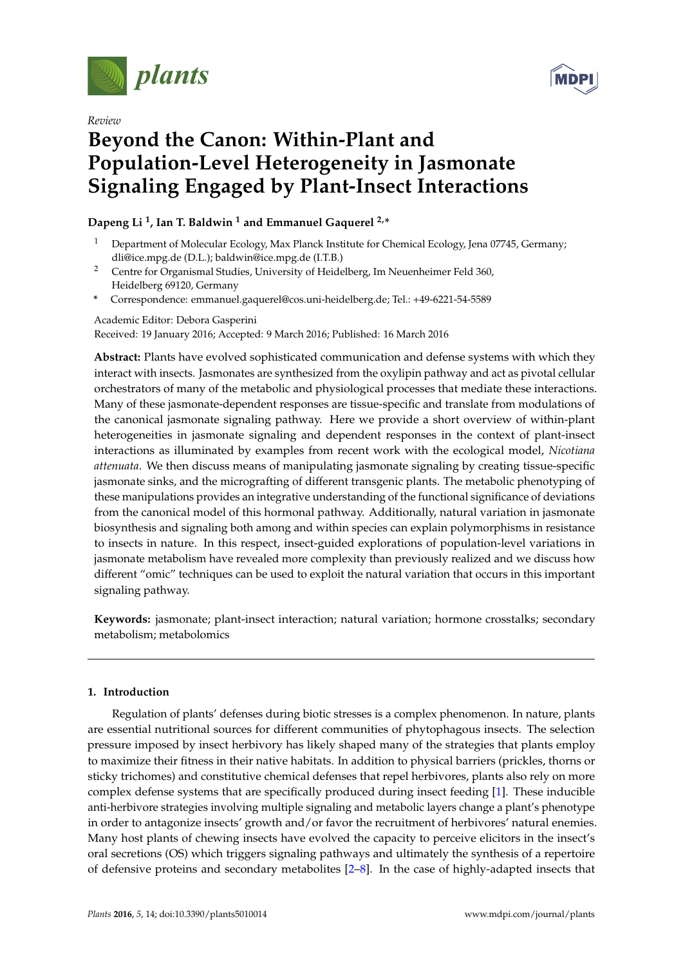

*Review*



# **Beyond the Canon: Within-Plant and Population-Level Heterogeneity in Jasmonate Signaling Engaged by Plant-Insect Interactions**

# **Dapeng Li <sup>1</sup> , Ian T. Baldwin <sup>1</sup> and Emmanuel Gaquerel 2,\***

- <sup>1</sup> Department of Molecular Ecology, Max Planck Institute for Chemical Ecology, Jena 07745, Germany; dli@ice.mpg.de (D.L.); baldwin@ice.mpg.de (I.T.B.)
- <sup>2</sup> Centre for Organismal Studies, University of Heidelberg, Im Neuenheimer Feld 360, Heidelberg 69120, Germany
- **\*** Correspondence: emmanuel.gaquerel@cos.uni-heidelberg.de; Tel.: +49-6221-54-5589

Academic Editor: Debora Gasperini Received: 19 January 2016; Accepted: 9 March 2016; Published: 16 March 2016

**Abstract:** Plants have evolved sophisticated communication and defense systems with which they interact with insects. Jasmonates are synthesized from the oxylipin pathway and act as pivotal cellular orchestrators of many of the metabolic and physiological processes that mediate these interactions. Many of these jasmonate-dependent responses are tissue-specific and translate from modulations of the canonical jasmonate signaling pathway. Here we provide a short overview of within-plant heterogeneities in jasmonate signaling and dependent responses in the context of plant-insect interactions as illuminated by examples from recent work with the ecological model, *Nicotiana attenuata*. We then discuss means of manipulating jasmonate signaling by creating tissue-specific jasmonate sinks, and the micrografting of different transgenic plants. The metabolic phenotyping of these manipulations provides an integrative understanding of the functional significance of deviations from the canonical model of this hormonal pathway. Additionally, natural variation in jasmonate biosynthesis and signaling both among and within species can explain polymorphisms in resistance to insects in nature. In this respect, insect-guided explorations of population-level variations in jasmonate metabolism have revealed more complexity than previously realized and we discuss how different "omic" techniques can be used to exploit the natural variation that occurs in this important signaling pathway.

**Keywords:** jasmonate; plant-insect interaction; natural variation; hormone crosstalks; secondary metabolism; metabolomics

# **1. Introduction**

Regulation of plants' defenses during biotic stresses is a complex phenomenon. In nature, plants are essential nutritional sources for different communities of phytophagous insects. The selection pressure imposed by insect herbivory has likely shaped many of the strategies that plants employ to maximize their fitness in their native habitats. In addition to physical barriers (prickles, thorns or sticky trichomes) and constitutive chemical defenses that repel herbivores, plants also rely on more complex defense systems that are specifically produced during insect feeding [\[1\]](#page-11-0). These inducible anti-herbivore strategies involving multiple signaling and metabolic layers change a plant's phenotype in order to antagonize insects' growth and/or favor the recruitment of herbivores' natural enemies. Many host plants of chewing insects have evolved the capacity to perceive elicitors in the insect's oral secretions (OS) which triggers signaling pathways and ultimately the synthesis of a repertoire of defensive proteins and secondary metabolites [\[2–](#page-11-1)[8\]](#page-11-2). In the case of highly-adapted insects that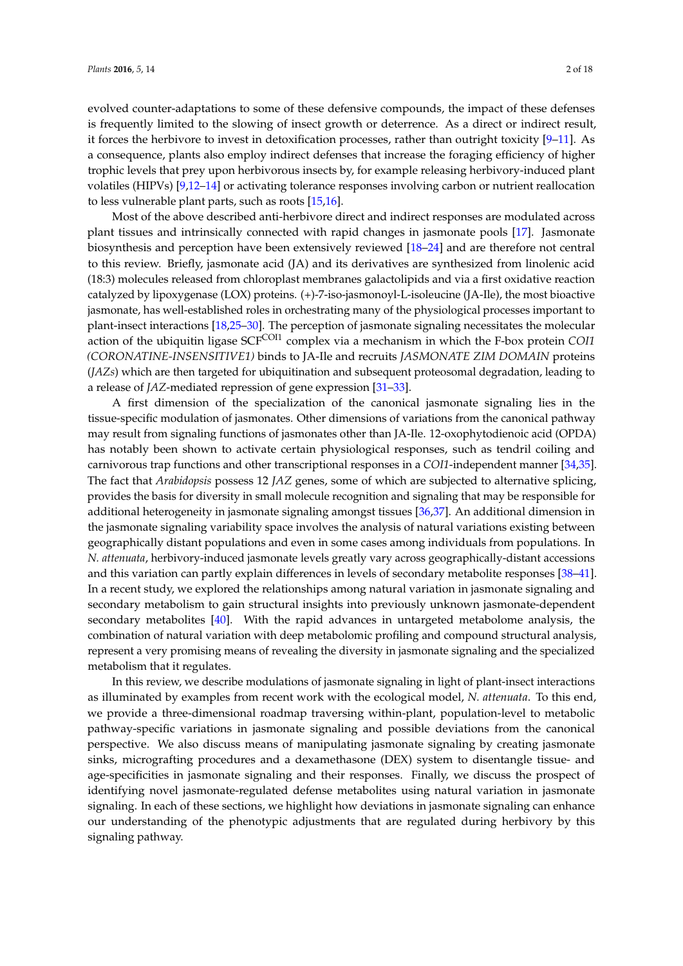evolved counter-adaptations to some of these defensive compounds, the impact of these defenses is frequently limited to the slowing of insect growth or deterrence. As a direct or indirect result, it forces the herbivore to invest in detoxification processes, rather than outright toxicity [\[9–](#page-11-3)[11\]](#page-11-4). As a consequence, plants also employ indirect defenses that increase the foraging efficiency of higher trophic levels that prey upon herbivorous insects by, for example releasing herbivory-induced plant volatiles (HIPVs) [\[9](#page-11-3)[,12](#page-11-5)[–14\]](#page-11-6) or activating tolerance responses involving carbon or nutrient reallocation to less vulnerable plant parts, such as roots [\[15](#page-11-7)[,16\]](#page-11-8).

Most of the above described anti-herbivore direct and indirect responses are modulated across plant tissues and intrinsically connected with rapid changes in jasmonate pools [\[17\]](#page-11-9). Jasmonate biosynthesis and perception have been extensively reviewed [\[18–](#page-12-0)[24\]](#page-12-1) and are therefore not central to this review. Briefly, jasmonate acid (JA) and its derivatives are synthesized from linolenic acid (18:3) molecules released from chloroplast membranes galactolipids and via a first oxidative reaction catalyzed by lipoxygenase (LOX) proteins. (+)-7-iso-jasmonoyl-L-isoleucine (JA-Ile), the most bioactive jasmonate, has well-established roles in orchestrating many of the physiological processes important to plant-insect interactions [\[18](#page-12-0)[,25](#page-12-2)[–30\]](#page-12-3). The perception of jasmonate signaling necessitates the molecular action of the ubiquitin ligase SCFCOI1 complex via a mechanism in which the F-box protein *COI1 (CORONATINE-INSENSITIVE1)* binds to JA-Ile and recruits *JASMONATE ZIM DOMAIN* proteins (*JAZs*) which are then targeted for ubiquitination and subsequent proteosomal degradation, leading to a release of *JAZ*-mediated repression of gene expression [\[31](#page-12-4)[–33\]](#page-12-5).

A first dimension of the specialization of the canonical jasmonate signaling lies in the tissue-specific modulation of jasmonates. Other dimensions of variations from the canonical pathway may result from signaling functions of jasmonates other than JA-Ile. 12-oxophytodienoic acid (OPDA) has notably been shown to activate certain physiological responses, such as tendril coiling and carnivorous trap functions and other transcriptional responses in a *COI1*-independent manner [\[34](#page-12-6)[,35\]](#page-12-7). The fact that *Arabidopsis* possess 12 *JAZ* genes, some of which are subjected to alternative splicing, provides the basis for diversity in small molecule recognition and signaling that may be responsible for additional heterogeneity in jasmonate signaling amongst tissues [\[36,](#page-12-8)[37\]](#page-12-9). An additional dimension in the jasmonate signaling variability space involves the analysis of natural variations existing between geographically distant populations and even in some cases among individuals from populations. In *N. attenuata*, herbivory-induced jasmonate levels greatly vary across geographically-distant accessions and this variation can partly explain differences in levels of secondary metabolite responses [\[38–](#page-12-10)[41\]](#page-13-0). In a recent study, we explored the relationships among natural variation in jasmonate signaling and secondary metabolism to gain structural insights into previously unknown jasmonate-dependent secondary metabolites [\[40\]](#page-13-1). With the rapid advances in untargeted metabolome analysis, the combination of natural variation with deep metabolomic profiling and compound structural analysis, represent a very promising means of revealing the diversity in jasmonate signaling and the specialized metabolism that it regulates.

In this review, we describe modulations of jasmonate signaling in light of plant-insect interactions as illuminated by examples from recent work with the ecological model, *N. attenuata*. To this end, we provide a three-dimensional roadmap traversing within-plant, population-level to metabolic pathway-specific variations in jasmonate signaling and possible deviations from the canonical perspective. We also discuss means of manipulating jasmonate signaling by creating jasmonate sinks, micrografting procedures and a dexamethasone (DEX) system to disentangle tissue- and age-specificities in jasmonate signaling and their responses. Finally, we discuss the prospect of identifying novel jasmonate-regulated defense metabolites using natural variation in jasmonate signaling. In each of these sections, we highlight how deviations in jasmonate signaling can enhance our understanding of the phenotypic adjustments that are regulated during herbivory by this signaling pathway.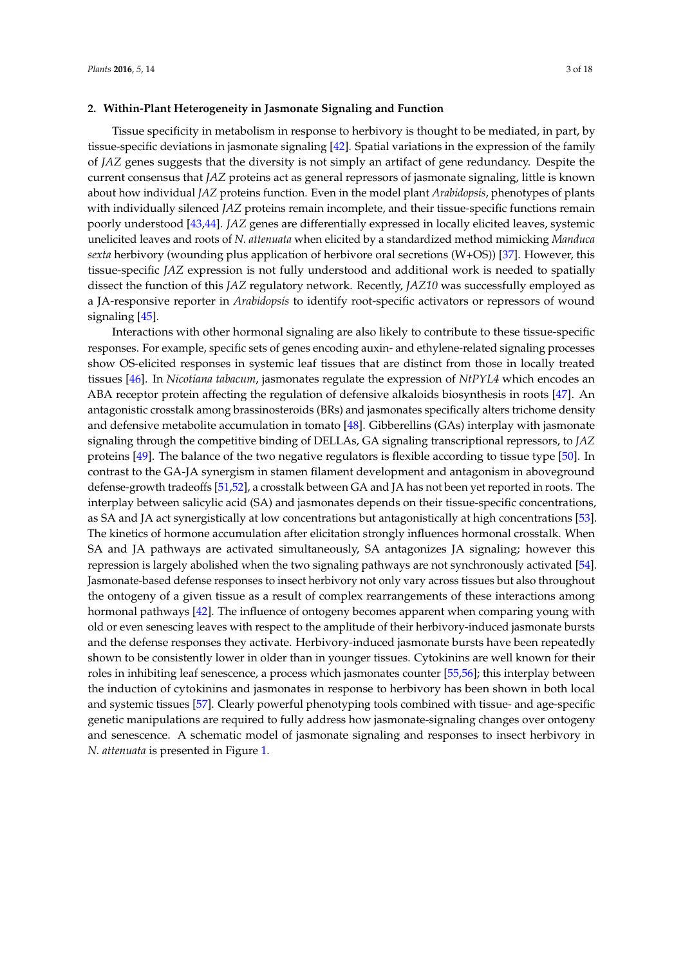#### **2. Within-Plant Heterogeneity in Jasmonate Signaling and Function**

Tissue specificity in metabolism in response to herbivory is thought to be mediated, in part, by tissue-specific deviations in jasmonate signaling [\[42\]](#page-13-2). Spatial variations in the expression of the family of *JAZ* genes suggests that the diversity is not simply an artifact of gene redundancy. Despite the current consensus that *JAZ* proteins act as general repressors of jasmonate signaling, little is known about how individual *JAZ* proteins function. Even in the model plant *Arabidopsis*, phenotypes of plants with individually silenced *JAZ* proteins remain incomplete, and their tissue-specific functions remain poorly understood [\[43,](#page-13-3)[44\]](#page-13-4). *JAZ* genes are differentially expressed in locally elicited leaves, systemic unelicited leaves and roots of *N. attenuata* when elicited by a standardized method mimicking *Manduca sexta* herbivory (wounding plus application of herbivore oral secretions (W+OS)) [\[37\]](#page-12-9). However, this tissue-specific *JAZ* expression is not fully understood and additional work is needed to spatially dissect the function of this *JAZ* regulatory network. Recently, *JAZ10* was successfully employed as a JA-responsive reporter in *Arabidopsis* to identify root-specific activators or repressors of wound signaling [\[45\]](#page-13-5).

Interactions with other hormonal signaling are also likely to contribute to these tissue-specific responses. For example, specific sets of genes encoding auxin- and ethylene-related signaling processes show OS-elicited responses in systemic leaf tissues that are distinct from those in locally treated tissues [\[46\]](#page-13-6). In *Nicotiana tabacum*, jasmonates regulate the expression of *NtPYL4* which encodes an ABA receptor protein affecting the regulation of defensive alkaloids biosynthesis in roots [\[47\]](#page-13-7). An antagonistic crosstalk among brassinosteroids (BRs) and jasmonates specifically alters trichome density and defensive metabolite accumulation in tomato [\[48\]](#page-13-8). Gibberellins (GAs) interplay with jasmonate signaling through the competitive binding of DELLAs, GA signaling transcriptional repressors, to *JAZ* proteins [\[49\]](#page-13-9). The balance of the two negative regulators is flexible according to tissue type [\[50\]](#page-13-10). In contrast to the GA-JA synergism in stamen filament development and antagonism in aboveground defense-growth tradeoffs [\[51](#page-13-11)[,52\]](#page-13-12), a crosstalk between GA and JA has not been yet reported in roots. The interplay between salicylic acid (SA) and jasmonates depends on their tissue-specific concentrations, as SA and JA act synergistically at low concentrations but antagonistically at high concentrations [\[53\]](#page-13-13). The kinetics of hormone accumulation after elicitation strongly influences hormonal crosstalk. When SA and JA pathways are activated simultaneously, SA antagonizes JA signaling; however this repression is largely abolished when the two signaling pathways are not synchronously activated [\[54\]](#page-13-14). Jasmonate-based defense responses to insect herbivory not only vary across tissues but also throughout the ontogeny of a given tissue as a result of complex rearrangements of these interactions among hormonal pathways [\[42\]](#page-13-2). The influence of ontogeny becomes apparent when comparing young with old or even senescing leaves with respect to the amplitude of their herbivory-induced jasmonate bursts and the defense responses they activate. Herbivory-induced jasmonate bursts have been repeatedly shown to be consistently lower in older than in younger tissues. Cytokinins are well known for their roles in inhibiting leaf senescence, a process which jasmonates counter [\[55,](#page-13-15)[56\]](#page-13-16); this interplay between the induction of cytokinins and jasmonates in response to herbivory has been shown in both local and systemic tissues [\[57\]](#page-13-17). Clearly powerful phenotyping tools combined with tissue- and age-specific genetic manipulations are required to fully address how jasmonate-signaling changes over ontogeny and senescence. A schematic model of jasmonate signaling and responses to insect herbivory in *N. attenuata* is presented in Figure [1.](#page-3-0)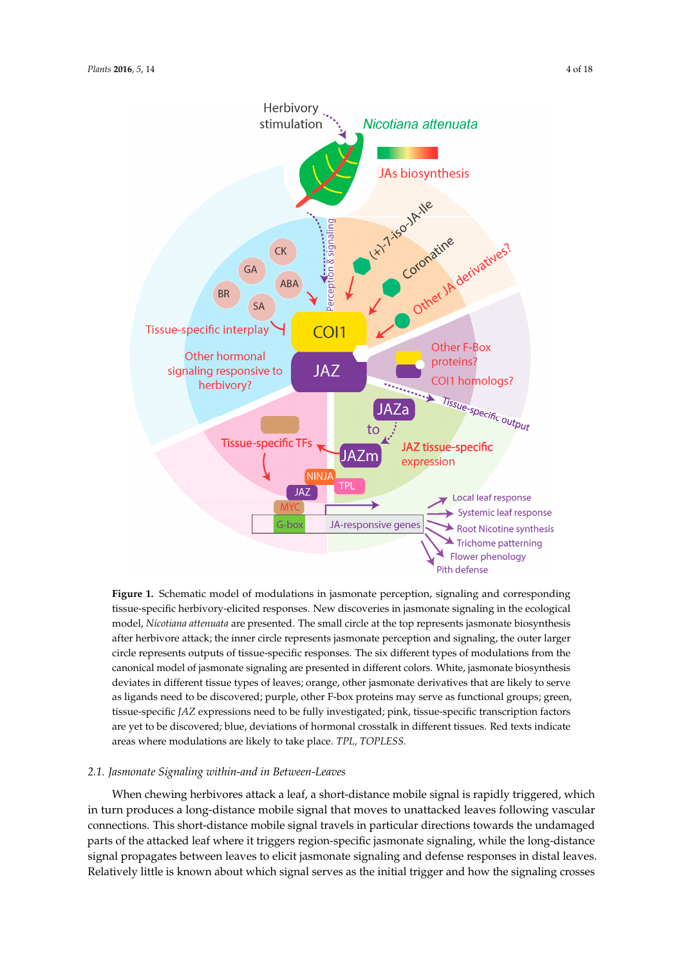<span id="page-3-0"></span>

**Figure 1.** Schematic model of modulations in jasmonate perception, signaling and corresponding **Figure 1.** Schematic model of modulations in jasmonate perception, signaling and corresponding tissue-specific herbivory-elicited responses. New discoveries in jasmonate signaling in the ecological tissue-specific herbivory-elicited responses. New discoveries in jasmonate signaling in the ecological model, *Nicotiana attenuata* are presented. The small circle at the top represents jasmonate biosynthesis model, *Nicotiana attenuata* are presented. The small circle at the top represents jasmonate biosynthesis after herbivore attack; the inner circle represents jasmonate perception and signaling, the outer larger after herbivore attack; the inner circle represents jasmonate perception and signaling, the outer larger circle represents outputs of tissue-specific responses. The six different types of modulations from the circle represents outputs of tissue-specific responses. The six different types of modulations from the canonical model of jasmonate signaling are presented in different colors. White, jasmonate canonical model of jasmonate signaling are presented in different colors. White, jasmonate biosynthesis biosynthesis deviates in different tissue types of leaves; orange, other jasmonate derivatives that are deviates in different tissue types of leaves; orange, other jasmonate derivatives that are likely to serve as ligands need to be discovered; purple, other F-box proteins may serve as functional groups; green, tissue-specific *JAZ* expressions need to be fully investigated; pink, tissue-specific transcription factors are yet to be discovered; blue, deviations of hormonal crosstalk in different tissues. Red texts indicate areas where modulations are likely to take place. *TPL, TOPLESS.* 

#### *2.1. Jasmonate Signaling within-and in Between-Leaves*

When chewing herbivores attack a leaf, a short-distance mobile signal is rapidly triggered, which in turn produces a long-distance mobile signal that moves to unattacked leaves following vascular connections. This short-distance mobile signal travels in particular directions towards the undamaged parts of the attacked leaf where it triggers region-specific jasmonate signaling, while the long-distance signal propagates between leaves to elicit jasmonate signaling and defense responses in distal leaves. Relatively little is known about which signal serves as the initial trigger and how the signaling crosses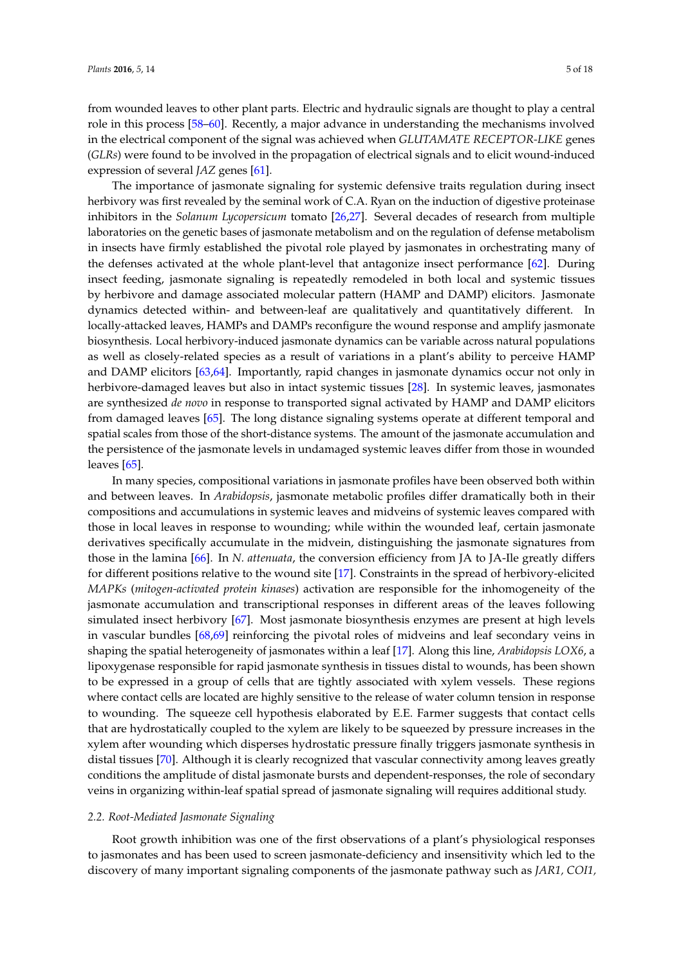from wounded leaves to other plant parts. Electric and hydraulic signals are thought to play a central role in this process [\[58](#page-13-18)[–60\]](#page-14-0). Recently, a major advance in understanding the mechanisms involved in the electrical component of the signal was achieved when *GLUTAMATE RECEPTOR-LIKE* genes (*GLRs*) were found to be involved in the propagation of electrical signals and to elicit wound-induced expression of several *JAZ* genes [\[61\]](#page-14-1).

The importance of jasmonate signaling for systemic defensive traits regulation during insect herbivory was first revealed by the seminal work of C.A. Ryan on the induction of digestive proteinase inhibitors in the *Solanum Lycopersicum* tomato [\[26,](#page-12-11)[27\]](#page-12-12). Several decades of research from multiple laboratories on the genetic bases of jasmonate metabolism and on the regulation of defense metabolism in insects have firmly established the pivotal role played by jasmonates in orchestrating many of the defenses activated at the whole plant-level that antagonize insect performance [\[62\]](#page-14-2). During insect feeding, jasmonate signaling is repeatedly remodeled in both local and systemic tissues by herbivore and damage associated molecular pattern (HAMP and DAMP) elicitors. Jasmonate dynamics detected within- and between-leaf are qualitatively and quantitatively different. In locally-attacked leaves, HAMPs and DAMPs reconfigure the wound response and amplify jasmonate biosynthesis. Local herbivory-induced jasmonate dynamics can be variable across natural populations as well as closely-related species as a result of variations in a plant's ability to perceive HAMP and DAMP elicitors [\[63,](#page-14-3)[64\]](#page-14-4). Importantly, rapid changes in jasmonate dynamics occur not only in herbivore-damaged leaves but also in intact systemic tissues [\[28\]](#page-12-13). In systemic leaves, jasmonates are synthesized *de novo* in response to transported signal activated by HAMP and DAMP elicitors from damaged leaves [\[65\]](#page-14-5). The long distance signaling systems operate at different temporal and spatial scales from those of the short-distance systems. The amount of the jasmonate accumulation and the persistence of the jasmonate levels in undamaged systemic leaves differ from those in wounded leaves  $[65]$ .

In many species, compositional variations in jasmonate profiles have been observed both within and between leaves. In *Arabidopsis*, jasmonate metabolic profiles differ dramatically both in their compositions and accumulations in systemic leaves and midveins of systemic leaves compared with those in local leaves in response to wounding; while within the wounded leaf, certain jasmonate derivatives specifically accumulate in the midvein, distinguishing the jasmonate signatures from those in the lamina [\[66\]](#page-14-6). In *N. attenuata*, the conversion efficiency from JA to JA-Ile greatly differs for different positions relative to the wound site [\[17\]](#page-11-9). Constraints in the spread of herbivory-elicited *MAPKs* (*mitogen-activated protein kinases*) activation are responsible for the inhomogeneity of the jasmonate accumulation and transcriptional responses in different areas of the leaves following simulated insect herbivory [\[67\]](#page-14-7). Most jasmonate biosynthesis enzymes are present at high levels in vascular bundles [\[68](#page-14-8)[,69\]](#page-14-9) reinforcing the pivotal roles of midveins and leaf secondary veins in shaping the spatial heterogeneity of jasmonates within a leaf [\[17\]](#page-11-9). Along this line, *Arabidopsis LOX6*, a lipoxygenase responsible for rapid jasmonate synthesis in tissues distal to wounds, has been shown to be expressed in a group of cells that are tightly associated with xylem vessels. These regions where contact cells are located are highly sensitive to the release of water column tension in response to wounding. The squeeze cell hypothesis elaborated by E.E. Farmer suggests that contact cells that are hydrostatically coupled to the xylem are likely to be squeezed by pressure increases in the xylem after wounding which disperses hydrostatic pressure finally triggers jasmonate synthesis in distal tissues [\[70\]](#page-14-10). Although it is clearly recognized that vascular connectivity among leaves greatly conditions the amplitude of distal jasmonate bursts and dependent-responses, the role of secondary veins in organizing within-leaf spatial spread of jasmonate signaling will requires additional study.

#### *2.2. Root-Mediated Jasmonate Signaling*

Root growth inhibition was one of the first observations of a plant's physiological responses to jasmonates and has been used to screen jasmonate-deficiency and insensitivity which led to the discovery of many important signaling components of the jasmonate pathway such as *JAR1, COI1,*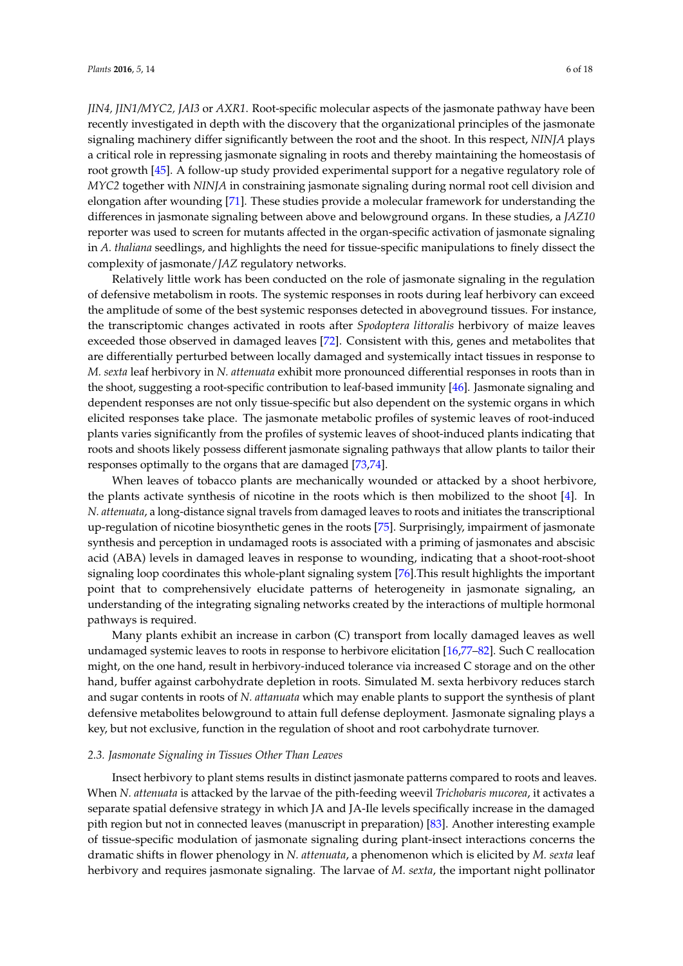*JIN4, JIN1/MYC2, JAI3* or *AXR1*. Root-specific molecular aspects of the jasmonate pathway have been recently investigated in depth with the discovery that the organizational principles of the jasmonate signaling machinery differ significantly between the root and the shoot. In this respect, *NINJA* plays a critical role in repressing jasmonate signaling in roots and thereby maintaining the homeostasis of root growth [\[45\]](#page-13-5). A follow-up study provided experimental support for a negative regulatory role of *MYC2* together with *NINJA* in constraining jasmonate signaling during normal root cell division and elongation after wounding [\[71\]](#page-14-11). These studies provide a molecular framework for understanding the differences in jasmonate signaling between above and belowground organs. In these studies, a *JAZ10* reporter was used to screen for mutants affected in the organ-specific activation of jasmonate signaling in *A. thaliana* seedlings, and highlights the need for tissue-specific manipulations to finely dissect the complexity of jasmonate/*JAZ* regulatory networks.

Relatively little work has been conducted on the role of jasmonate signaling in the regulation of defensive metabolism in roots. The systemic responses in roots during leaf herbivory can exceed the amplitude of some of the best systemic responses detected in aboveground tissues. For instance, the transcriptomic changes activated in roots after *Spodoptera littoralis* herbivory of maize leaves exceeded those observed in damaged leaves [\[72\]](#page-14-12). Consistent with this, genes and metabolites that are differentially perturbed between locally damaged and systemically intact tissues in response to *M. sexta* leaf herbivory in *N. attenuata* exhibit more pronounced differential responses in roots than in the shoot, suggesting a root-specific contribution to leaf-based immunity [\[46\]](#page-13-6). Jasmonate signaling and dependent responses are not only tissue-specific but also dependent on the systemic organs in which elicited responses take place. The jasmonate metabolic profiles of systemic leaves of root-induced plants varies significantly from the profiles of systemic leaves of shoot-induced plants indicating that roots and shoots likely possess different jasmonate signaling pathways that allow plants to tailor their responses optimally to the organs that are damaged [\[73](#page-14-13)[,74\]](#page-14-14).

When leaves of tobacco plants are mechanically wounded or attacked by a shoot herbivore, the plants activate synthesis of nicotine in the roots which is then mobilized to the shoot [\[4\]](#page-11-10). In *N. attenuata*, a long-distance signal travels from damaged leaves to roots and initiates the transcriptional up-regulation of nicotine biosynthetic genes in the roots [\[75\]](#page-14-15). Surprisingly, impairment of jasmonate synthesis and perception in undamaged roots is associated with a priming of jasmonates and abscisic acid (ABA) levels in damaged leaves in response to wounding, indicating that a shoot-root-shoot signaling loop coordinates this whole-plant signaling system [\[76\]](#page-14-16).This result highlights the important point that to comprehensively elucidate patterns of heterogeneity in jasmonate signaling, an understanding of the integrating signaling networks created by the interactions of multiple hormonal pathways is required.

Many plants exhibit an increase in carbon (C) transport from locally damaged leaves as well undamaged systemic leaves to roots in response to herbivore elicitation [\[16](#page-11-8)[,77–](#page-14-17)[82\]](#page-15-0). Such C reallocation might, on the one hand, result in herbivory-induced tolerance via increased C storage and on the other hand, buffer against carbohydrate depletion in roots. Simulated M. sexta herbivory reduces starch and sugar contents in roots of *N. attanuata* which may enable plants to support the synthesis of plant defensive metabolites belowground to attain full defense deployment. Jasmonate signaling plays a key, but not exclusive, function in the regulation of shoot and root carbohydrate turnover.

#### *2.3. Jasmonate Signaling in Tissues Other Than Leaves*

Insect herbivory to plant stems results in distinct jasmonate patterns compared to roots and leaves. When *N. attenuata* is attacked by the larvae of the pith-feeding weevil *Trichobaris mucorea*, it activates a separate spatial defensive strategy in which JA and JA-Ile levels specifically increase in the damaged pith region but not in connected leaves (manuscript in preparation) [\[83\]](#page-15-1). Another interesting example of tissue-specific modulation of jasmonate signaling during plant-insect interactions concerns the dramatic shifts in flower phenology in *N. attenuata*, a phenomenon which is elicited by *M. sexta* leaf herbivory and requires jasmonate signaling. The larvae of *M. sexta*, the important night pollinator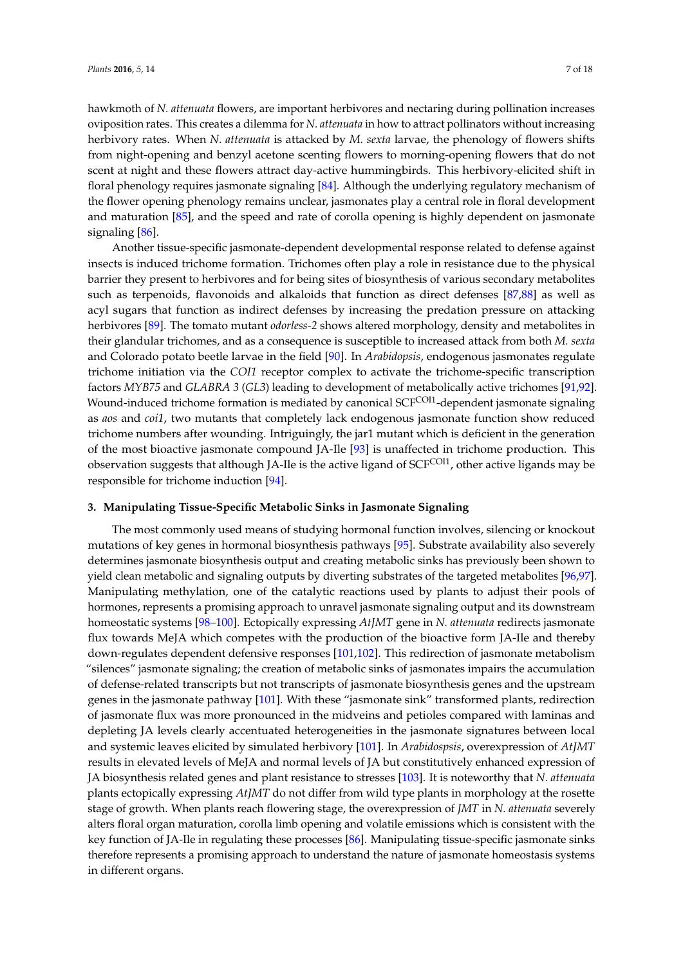hawkmoth of *N. attenuata* flowers, are important herbivores and nectaring during pollination increases oviposition rates. This creates a dilemma for *N. attenuata* in how to attract pollinators without increasing herbivory rates. When *N. attenuata* is attacked by *M. sexta* larvae, the phenology of flowers shifts from night-opening and benzyl acetone scenting flowers to morning-opening flowers that do not scent at night and these flowers attract day-active hummingbirds. This herbivory-elicited shift in floral phenology requires jasmonate signaling [\[84\]](#page-15-2). Although the underlying regulatory mechanism of the flower opening phenology remains unclear, jasmonates play a central role in floral development and maturation [\[85\]](#page-15-3), and the speed and rate of corolla opening is highly dependent on jasmonate signaling [\[86\]](#page-15-4).

Another tissue-specific jasmonate-dependent developmental response related to defense against insects is induced trichome formation. Trichomes often play a role in resistance due to the physical barrier they present to herbivores and for being sites of biosynthesis of various secondary metabolites such as terpenoids, flavonoids and alkaloids that function as direct defenses [\[87,](#page-15-5)[88\]](#page-15-6) as well as acyl sugars that function as indirect defenses by increasing the predation pressure on attacking herbivores [\[89\]](#page-15-7). The tomato mutant *odorless-2* shows altered morphology, density and metabolites in their glandular trichomes, and as a consequence is susceptible to increased attack from both *M. sexta* and Colorado potato beetle larvae in the field [\[90\]](#page-15-8). In *Arabidopsis*, endogenous jasmonates regulate trichome initiation via the *COI1* receptor complex to activate the trichome-specific transcription factors *MYB75* and *GLABRA 3* (*GL3*) leading to development of metabolically active trichomes [\[91](#page-15-9)[,92\]](#page-15-10). Wound-induced trichome formation is mediated by canonical SCFCOI1-dependent jasmonate signaling as *aos* and *coi1*, two mutants that completely lack endogenous jasmonate function show reduced trichome numbers after wounding. Intriguingly, the jar1 mutant which is deficient in the generation of the most bioactive jasmonate compound JA-Ile [\[93\]](#page-15-11) is unaffected in trichome production. This observation suggests that although JA-Ile is the active ligand of SCF<sup>COI1</sup>, other active ligands may be responsible for trichome induction [\[94\]](#page-15-12).

#### **3. Manipulating Tissue-Specific Metabolic Sinks in Jasmonate Signaling**

The most commonly used means of studying hormonal function involves, silencing or knockout mutations of key genes in hormonal biosynthesis pathways [\[95\]](#page-15-13). Substrate availability also severely determines jasmonate biosynthesis output and creating metabolic sinks has previously been shown to yield clean metabolic and signaling outputs by diverting substrates of the targeted metabolites [\[96](#page-15-14)[,97\]](#page-15-15). Manipulating methylation, one of the catalytic reactions used by plants to adjust their pools of hormones, represents a promising approach to unravel jasmonate signaling output and its downstream homeostatic systems [\[98](#page-15-16)[–100\]](#page-16-0). Ectopically expressing *AtJMT* gene in *N. attenuata* redirects jasmonate flux towards MeJA which competes with the production of the bioactive form JA-Ile and thereby down-regulates dependent defensive responses [\[101](#page-16-1)[,102\]](#page-16-2). This redirection of jasmonate metabolism "silences" jasmonate signaling; the creation of metabolic sinks of jasmonates impairs the accumulation of defense-related transcripts but not transcripts of jasmonate biosynthesis genes and the upstream genes in the jasmonate pathway [\[101\]](#page-16-1). With these "jasmonate sink" transformed plants, redirection of jasmonate flux was more pronounced in the midveins and petioles compared with laminas and depleting JA levels clearly accentuated heterogeneities in the jasmonate signatures between local and systemic leaves elicited by simulated herbivory [\[101\]](#page-16-1). In *Arabidospsis*, overexpression of *AtJMT* results in elevated levels of MeJA and normal levels of JA but constitutively enhanced expression of JA biosynthesis related genes and plant resistance to stresses [\[103\]](#page-16-3). It is noteworthy that *N. attenuata* plants ectopically expressing *AtJMT* do not differ from wild type plants in morphology at the rosette stage of growth. When plants reach flowering stage, the overexpression of *JMT* in *N. attenuata* severely alters floral organ maturation, corolla limb opening and volatile emissions which is consistent with the key function of JA-Ile in regulating these processes [\[86\]](#page-15-4). Manipulating tissue-specific jasmonate sinks therefore represents a promising approach to understand the nature of jasmonate homeostasis systems in different organs.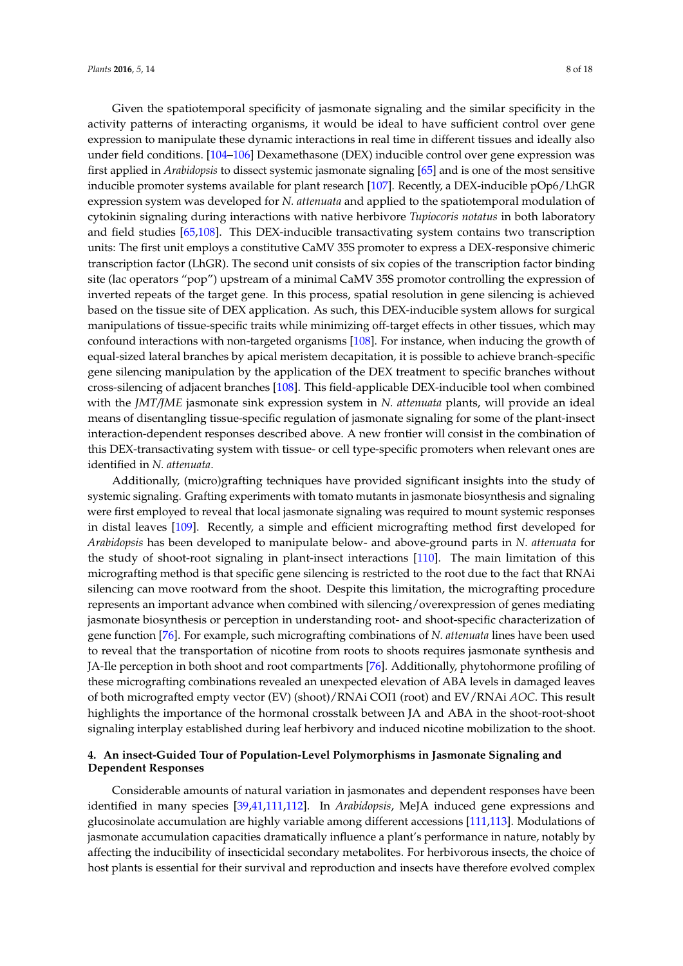Given the spatiotemporal specificity of jasmonate signaling and the similar specificity in the activity patterns of interacting organisms, it would be ideal to have sufficient control over gene expression to manipulate these dynamic interactions in real time in different tissues and ideally also under field conditions. [\[104](#page-16-4)[–106\]](#page-16-5) Dexamethasone (DEX) inducible control over gene expression was first applied in *Arabidopsis* to dissect systemic jasmonate signaling [\[65\]](#page-14-5) and is one of the most sensitive inducible promoter systems available for plant research [\[107\]](#page-16-6). Recently, a DEX-inducible pOp6/LhGR expression system was developed for *N. attenuata* and applied to the spatiotemporal modulation of cytokinin signaling during interactions with native herbivore *Tupiocoris notatus* in both laboratory and field studies [\[65,](#page-14-5)[108\]](#page-16-7). This DEX-inducible transactivating system contains two transcription units: The first unit employs a constitutive CaMV 35S promoter to express a DEX-responsive chimeric transcription factor (LhGR). The second unit consists of six copies of the transcription factor binding site (lac operators "pop") upstream of a minimal CaMV 35S promotor controlling the expression of inverted repeats of the target gene. In this process, spatial resolution in gene silencing is achieved based on the tissue site of DEX application. As such, this DEX-inducible system allows for surgical manipulations of tissue-specific traits while minimizing off-target effects in other tissues, which may confound interactions with non-targeted organisms [\[108\]](#page-16-7). For instance, when inducing the growth of equal-sized lateral branches by apical meristem decapitation, it is possible to achieve branch-specific gene silencing manipulation by the application of the DEX treatment to specific branches without cross-silencing of adjacent branches [\[108\]](#page-16-7). This field-applicable DEX-inducible tool when combined with the *JMT/JME* jasmonate sink expression system in *N. attenuata* plants, will provide an ideal means of disentangling tissue-specific regulation of jasmonate signaling for some of the plant-insect interaction-dependent responses described above. A new frontier will consist in the combination of this DEX-transactivating system with tissue- or cell type-specific promoters when relevant ones are identified in *N. attenuata*.

Additionally, (micro)grafting techniques have provided significant insights into the study of systemic signaling. Grafting experiments with tomato mutants in jasmonate biosynthesis and signaling were first employed to reveal that local jasmonate signaling was required to mount systemic responses in distal leaves [\[109\]](#page-16-8). Recently, a simple and efficient micrografting method first developed for *Arabidopsis* has been developed to manipulate below- and above-ground parts in *N. attenuata* for the study of shoot-root signaling in plant-insect interactions [\[110\]](#page-16-9). The main limitation of this micrografting method is that specific gene silencing is restricted to the root due to the fact that RNAi silencing can move rootward from the shoot. Despite this limitation, the micrografting procedure represents an important advance when combined with silencing/overexpression of genes mediating jasmonate biosynthesis or perception in understanding root- and shoot-specific characterization of gene function [\[76\]](#page-14-16). For example, such micrografting combinations of *N. attenuata* lines have been used to reveal that the transportation of nicotine from roots to shoots requires jasmonate synthesis and JA-Ile perception in both shoot and root compartments [\[76\]](#page-14-16). Additionally, phytohormone profiling of these micrografting combinations revealed an unexpected elevation of ABA levels in damaged leaves of both micrografted empty vector (EV) (shoot)/RNAi COI1 (root) and EV/RNAi *AOC*. This result highlights the importance of the hormonal crosstalk between JA and ABA in the shoot-root-shoot signaling interplay established during leaf herbivory and induced nicotine mobilization to the shoot.

### **4. An insect-Guided Tour of Population-Level Polymorphisms in Jasmonate Signaling and Dependent Responses**

Considerable amounts of natural variation in jasmonates and dependent responses have been identified in many species [\[39](#page-12-14)[,41](#page-13-0)[,111](#page-16-10)[,112\]](#page-16-11). In *Arabidopsis*, MeJA induced gene expressions and glucosinolate accumulation are highly variable among different accessions [\[111,](#page-16-10)[113\]](#page-16-12). Modulations of jasmonate accumulation capacities dramatically influence a plant's performance in nature, notably by affecting the inducibility of insecticidal secondary metabolites. For herbivorous insects, the choice of host plants is essential for their survival and reproduction and insects have therefore evolved complex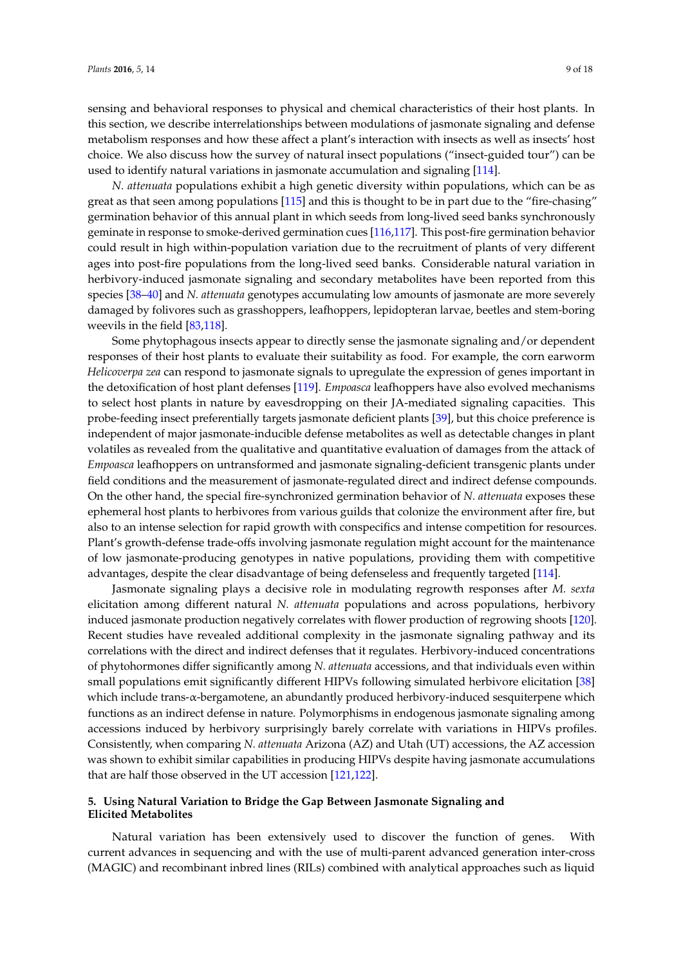sensing and behavioral responses to physical and chemical characteristics of their host plants. In this section, we describe interrelationships between modulations of jasmonate signaling and defense metabolism responses and how these affect a plant's interaction with insects as well as insects' host choice. We also discuss how the survey of natural insect populations ("insect-guided tour") can be used to identify natural variations in jasmonate accumulation and signaling [\[114\]](#page-16-13).

*N. attenuata* populations exhibit a high genetic diversity within populations, which can be as great as that seen among populations [\[115\]](#page-16-14) and this is thought to be in part due to the "fire-chasing" germination behavior of this annual plant in which seeds from long-lived seed banks synchronously geminate in response to smoke-derived germination cues [\[116](#page-16-15)[,117\]](#page-16-16). This post-fire germination behavior could result in high within-population variation due to the recruitment of plants of very different ages into post-fire populations from the long-lived seed banks. Considerable natural variation in herbivory-induced jasmonate signaling and secondary metabolites have been reported from this species [\[38](#page-12-10)[–40\]](#page-13-1) and *N. attenuata* genotypes accumulating low amounts of jasmonate are more severely damaged by folivores such as grasshoppers, leafhoppers, lepidopteran larvae, beetles and stem-boring weevils in the field [\[83,](#page-15-1)[118\]](#page-16-17).

Some phytophagous insects appear to directly sense the jasmonate signaling and/or dependent responses of their host plants to evaluate their suitability as food. For example, the corn earworm *Helicoverpa zea* can respond to jasmonate signals to upregulate the expression of genes important in the detoxification of host plant defenses [\[119\]](#page-16-18). *Empoasca* leafhoppers have also evolved mechanisms to select host plants in nature by eavesdropping on their JA-mediated signaling capacities. This probe-feeding insect preferentially targets jasmonate deficient plants [\[39\]](#page-12-14), but this choice preference is independent of major jasmonate-inducible defense metabolites as well as detectable changes in plant volatiles as revealed from the qualitative and quantitative evaluation of damages from the attack of *Empoasca* leafhoppers on untransformed and jasmonate signaling-deficient transgenic plants under field conditions and the measurement of jasmonate-regulated direct and indirect defense compounds. On the other hand, the special fire-synchronized germination behavior of *N. attenuata* exposes these ephemeral host plants to herbivores from various guilds that colonize the environment after fire, but also to an intense selection for rapid growth with conspecifics and intense competition for resources. Plant's growth-defense trade-offs involving jasmonate regulation might account for the maintenance of low jasmonate-producing genotypes in native populations, providing them with competitive advantages, despite the clear disadvantage of being defenseless and frequently targeted [\[114\]](#page-16-13).

Jasmonate signaling plays a decisive role in modulating regrowth responses after *M. sexta* elicitation among different natural *N. attenuata* populations and across populations, herbivory induced jasmonate production negatively correlates with flower production of regrowing shoots [\[120\]](#page-17-0). Recent studies have revealed additional complexity in the jasmonate signaling pathway and its correlations with the direct and indirect defenses that it regulates. Herbivory-induced concentrations of phytohormones differ significantly among *N. attenuata* accessions, and that individuals even within small populations emit significantly different HIPVs following simulated herbivore elicitation [\[38\]](#page-12-10) which include trans-α-bergamotene, an abundantly produced herbivory-induced sesquiterpene which functions as an indirect defense in nature. Polymorphisms in endogenous jasmonate signaling among accessions induced by herbivory surprisingly barely correlate with variations in HIPVs profiles. Consistently, when comparing *N. attenuata* Arizona (AZ) and Utah (UT) accessions, the AZ accession was shown to exhibit similar capabilities in producing HIPVs despite having jasmonate accumulations that are half those observed in the UT accession [\[121](#page-17-1)[,122\]](#page-17-2).

## **5. Using Natural Variation to Bridge the Gap Between Jasmonate Signaling and Elicited Metabolites**

Natural variation has been extensively used to discover the function of genes. With current advances in sequencing and with the use of multi-parent advanced generation inter-cross (MAGIC) and recombinant inbred lines (RILs) combined with analytical approaches such as liquid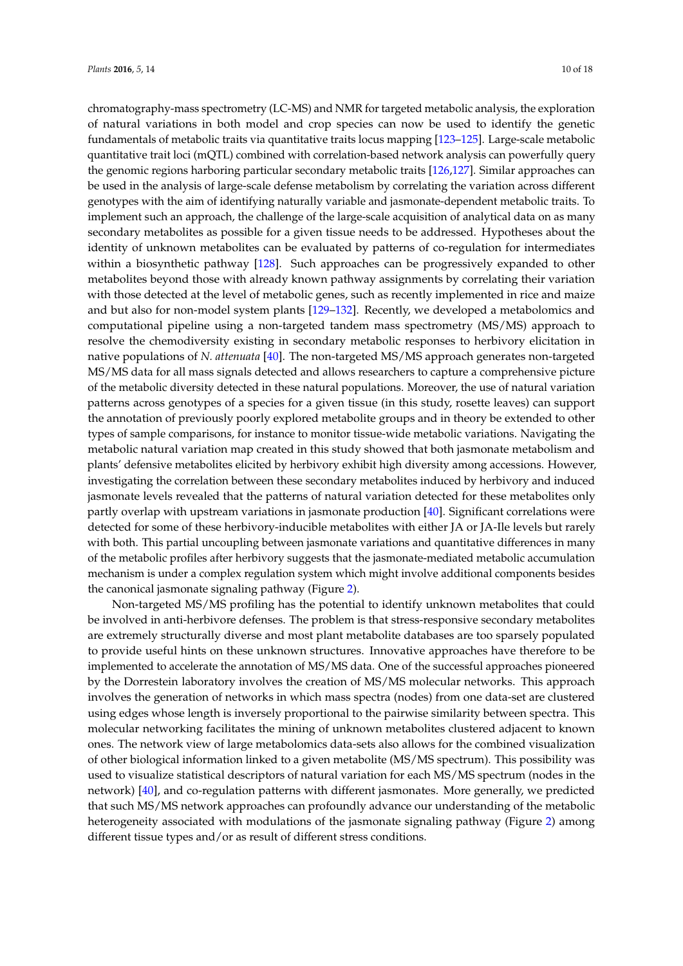chromatography-mass spectrometry (LC-MS) and NMR for targeted metabolic analysis, the exploration of natural variations in both model and crop species can now be used to identify the genetic fundamentals of metabolic traits via quantitative traits locus mapping [\[123–](#page-17-3)[125\]](#page-17-4). Large-scale metabolic quantitative trait loci (mQTL) combined with correlation-based network analysis can powerfully query the genomic regions harboring particular secondary metabolic traits [\[126](#page-17-5)[,127\]](#page-17-6). Similar approaches can be used in the analysis of large-scale defense metabolism by correlating the variation across different genotypes with the aim of identifying naturally variable and jasmonate-dependent metabolic traits. To implement such an approach, the challenge of the large-scale acquisition of analytical data on as many secondary metabolites as possible for a given tissue needs to be addressed. Hypotheses about the identity of unknown metabolites can be evaluated by patterns of co-regulation for intermediates within a biosynthetic pathway [\[128\]](#page-17-7). Such approaches can be progressively expanded to other metabolites beyond those with already known pathway assignments by correlating their variation with those detected at the level of metabolic genes, such as recently implemented in rice and maize and but also for non-model system plants [\[129](#page-17-8)[–132\]](#page-17-9). Recently, we developed a metabolomics and computational pipeline using a non-targeted tandem mass spectrometry (MS/MS) approach to resolve the chemodiversity existing in secondary metabolic responses to herbivory elicitation in native populations of *N. attenuata* [\[40\]](#page-13-1). The non-targeted MS/MS approach generates non-targeted MS/MS data for all mass signals detected and allows researchers to capture a comprehensive picture of the metabolic diversity detected in these natural populations. Moreover, the use of natural variation patterns across genotypes of a species for a given tissue (in this study, rosette leaves) can support the annotation of previously poorly explored metabolite groups and in theory be extended to other types of sample comparisons, for instance to monitor tissue-wide metabolic variations. Navigating the metabolic natural variation map created in this study showed that both jasmonate metabolism and plants' defensive metabolites elicited by herbivory exhibit high diversity among accessions. However, investigating the correlation between these secondary metabolites induced by herbivory and induced jasmonate levels revealed that the patterns of natural variation detected for these metabolites only partly overlap with upstream variations in jasmonate production [\[40\]](#page-13-1). Significant correlations were detected for some of these herbivory-inducible metabolites with either JA or JA-Ile levels but rarely with both. This partial uncoupling between jasmonate variations and quantitative differences in many of the metabolic profiles after herbivory suggests that the jasmonate-mediated metabolic accumulation mechanism is under a complex regulation system which might involve additional components besides the canonical jasmonate signaling pathway (Figure [2\)](#page-10-0).

Non-targeted MS/MS profiling has the potential to identify unknown metabolites that could be involved in anti-herbivore defenses. The problem is that stress-responsive secondary metabolites are extremely structurally diverse and most plant metabolite databases are too sparsely populated to provide useful hints on these unknown structures. Innovative approaches have therefore to be implemented to accelerate the annotation of MS/MS data. One of the successful approaches pioneered by the Dorrestein laboratory involves the creation of MS/MS molecular networks. This approach involves the generation of networks in which mass spectra (nodes) from one data-set are clustered using edges whose length is inversely proportional to the pairwise similarity between spectra. This molecular networking facilitates the mining of unknown metabolites clustered adjacent to known ones. The network view of large metabolomics data-sets also allows for the combined visualization of other biological information linked to a given metabolite (MS/MS spectrum). This possibility was used to visualize statistical descriptors of natural variation for each MS/MS spectrum (nodes in the network) [\[40\]](#page-13-1), and co-regulation patterns with different jasmonates. More generally, we predicted that such MS/MS network approaches can profoundly advance our understanding of the metabolic heterogeneity associated with modulations of the jasmonate signaling pathway (Figure [2\)](#page-10-0) among different tissue types and/or as result of different stress conditions.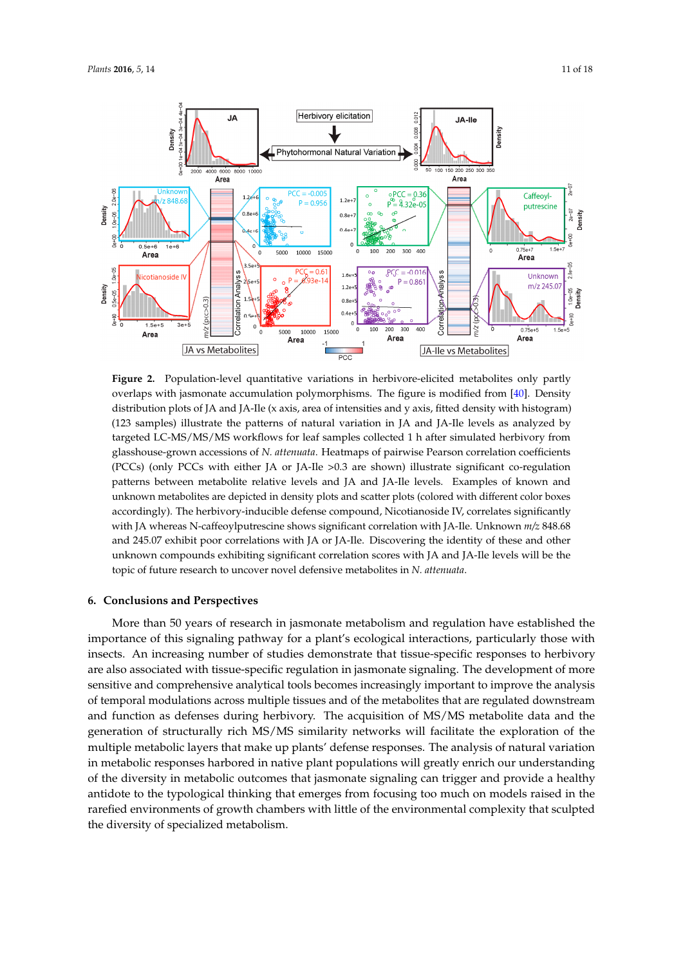<span id="page-10-0"></span>

**Figure 2.** Population-level quantitative variations in herbivore-elicited metabolites only partly **Figure 2.** Population-level quantitative variations in herbivore-elicited metabolites only partly overlaps with jasmonate accumulation polymorphisms. The figure is modified from [\[40\]](#page-13-1). Density distribution plots of JA and JA-Ile (x axis, area of intensities and y axis, fitted density with histogram) distribution plots of JA and JA-Ile (x axis, area of intensities and y axis, fitted density with histogram) (123 samples) illustrate the patterns of natural variation in JA and JA-Ile levels as analyzed by targeted LC-MS/MS/MS workflows for leaf samples collected 1 h after simulated herbivory from glasshouse-grown accessions of *N. attenuata*. Heatmaps of pairwise Pearson correlation coefficients (PCCs) (only PCCs with either JA or JA-Ile  $>0.3$  are shown) illustrate significant co-regulation patterns between metabolite relative levels and JA and JA-Ile levels. Examples of known and unknown metabolites are depicted in density plots and scatter plots (colored with different color boxes accordingly). The herbivory-inducible defense compound, Nicotianoside IV, correlates significantly with JA whereas N-caffeoylputrescine shows significant correlation with JA-Ile. Unknown *m/z* 848.68 and 245.07 exhibit poor correlations with JA or JA-Ile. Discovering the identity of these and other unknown compounds exhibiting significant correlation scores with JA and JA-Ile levels will be the future research to uncover novel defensive metabolites in *N. attenuata*. topic of future research to uncover novel defensive metabolites in *N. attenuata*.

## **6. Conclusions and Perspectives 6. Conclusions and Perspectives**

More than 50 years of research in jasmonate metabolism and regulation have established the More than 50 years of research in jasmonate metabolism and regulation have established the importance of this signaling pathway for a plant's ecological interactions, particularly those with importance of this signaling pathway for a plant's ecological interactions, particularly those with insects. An increasing number of studies demonstrate that tissue-specific responses to herbivory are are also associated with tissue-specific regulation in jasmonate signaling. The development of more sensitive and comprehensive analytical tools becomes increasingly important to improve the analysis of temporal modulations across multiple tissues and of the metabolites that are regulated downstream and function as defenses during herbivory. The acquisition of MS/MS metabolite data and the generation of structurally rich MS/MS similarity networks will facilitate the exploration of the in metabolic responses harbored in native plant populations will greatly enrich our understanding of the diversity in metabolic outcomes that jasmonate signaling can trigger and provide a healthy antidote to the typological thinking that emerges from focusing too much on models raised in the rarefied environments of growth chambers with little of the environmental complexity that sculpted insects. An increasing number of studies demonstrate that tissue-specific responses to herbivory multiple metabolic layers that make up plants' defense responses. The analysis of natural variation the diversity of specialized metabolism.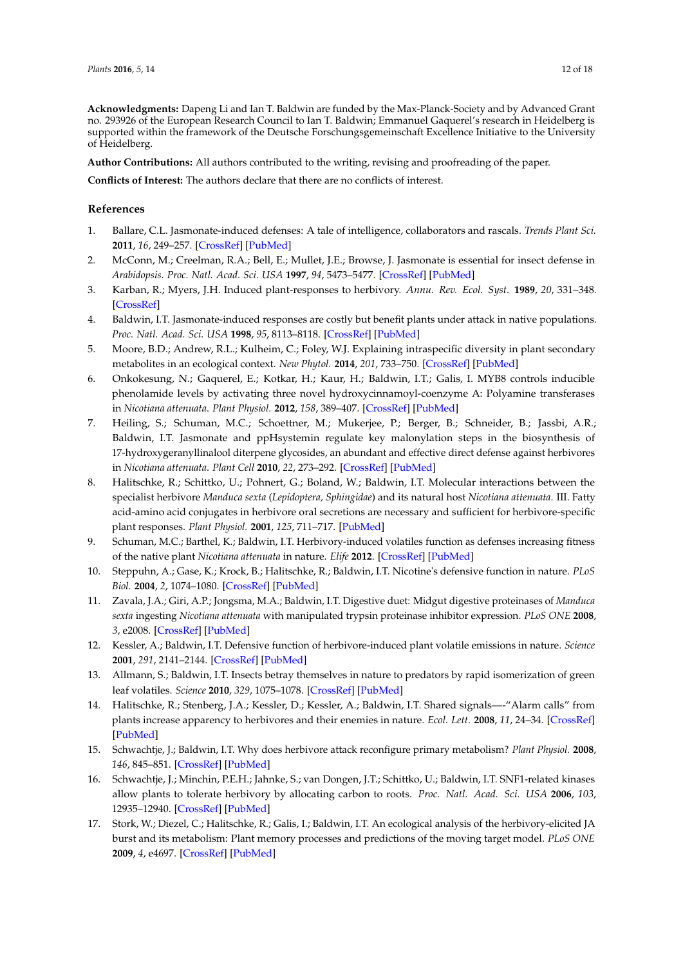**Acknowledgments:** Dapeng Li and Ian T. Baldwin are funded by the Max-Planck-Society and by Advanced Grant no. 293926 of the European Research Council to Ian T. Baldwin; Emmanuel Gaquerel's research in Heidelberg is supported within the framework of the Deutsche Forschungsgemeinschaft Excellence Initiative to the University of Heidelberg.

**Author Contributions:** All authors contributed to the writing, revising and proofreading of the paper.

**Conflicts of Interest:** The authors declare that there are no conflicts of interest.

#### **References**

- <span id="page-11-0"></span>1. Ballare, C.L. Jasmonate-induced defenses: A tale of intelligence, collaborators and rascals. *Trends Plant Sci.* **2011**, *16*, 249–257. [\[CrossRef\]](http://dx.doi.org/10.1016/j.tplants.2010.12.001) [\[PubMed\]](http://www.ncbi.nlm.nih.gov/pubmed/21216178)
- <span id="page-11-1"></span>2. McConn, M.; Creelman, R.A.; Bell, E.; Mullet, J.E.; Browse, J. Jasmonate is essential for insect defense in *Arabidopsis*. *Proc. Natl. Acad. Sci. USA* **1997**, *94*, 5473–5477. [\[CrossRef\]](http://dx.doi.org/10.1073/pnas.94.10.5473) [\[PubMed\]](http://www.ncbi.nlm.nih.gov/pubmed/11038546)
- 3. Karban, R.; Myers, J.H. Induced plant-responses to herbivory. *Annu. Rev. Ecol. Syst.* **1989**, *20*, 331–348. [\[CrossRef\]](http://dx.doi.org/10.1146/annurev.es.20.110189.001555)
- <span id="page-11-10"></span>4. Baldwin, I.T. Jasmonate-induced responses are costly but benefit plants under attack in native populations. *Proc. Natl. Acad. Sci. USA* **1998**, *95*, 8113–8118. [\[CrossRef\]](http://dx.doi.org/10.1073/pnas.95.14.8113) [\[PubMed\]](http://www.ncbi.nlm.nih.gov/pubmed/9653149)
- 5. Moore, B.D.; Andrew, R.L.; Kulheim, C.; Foley, W.J. Explaining intraspecific diversity in plant secondary metabolites in an ecological context. *New Phytol.* **2014**, *201*, 733–750. [\[CrossRef\]](http://dx.doi.org/10.1111/nph.12526) [\[PubMed\]](http://www.ncbi.nlm.nih.gov/pubmed/24117919)
- 6. Onkokesung, N.; Gaquerel, E.; Kotkar, H.; Kaur, H.; Baldwin, I.T.; Galis, I. MYB8 controls inducible phenolamide levels by activating three novel hydroxycinnamoyl-coenzyme A: Polyamine transferases in *Nicotiana attenuata*. *Plant Physiol.* **2012**, *158*, 389–407. [\[CrossRef\]](http://dx.doi.org/10.1104/pp.111.187229) [\[PubMed\]](http://www.ncbi.nlm.nih.gov/pubmed/22082505)
- 7. Heiling, S.; Schuman, M.C.; Schoettner, M.; Mukerjee, P.; Berger, B.; Schneider, B.; Jassbi, A.R.; Baldwin, I.T. Jasmonate and ppHsystemin regulate key malonylation steps in the biosynthesis of 17-hydroxygeranyllinalool diterpene glycosides, an abundant and effective direct defense against herbivores in *Nicotiana attenuata*. *Plant Cell* **2010**, *22*, 273–292. [\[CrossRef\]](http://dx.doi.org/10.1105/tpc.109.071449) [\[PubMed\]](http://www.ncbi.nlm.nih.gov/pubmed/20081114)
- <span id="page-11-2"></span>8. Halitschke, R.; Schittko, U.; Pohnert, G.; Boland, W.; Baldwin, I.T. Molecular interactions between the specialist herbivore *Manduca sexta* (*Lepidoptera, Sphingidae*) and its natural host *Nicotiana attenuata*. III. Fatty acid-amino acid conjugates in herbivore oral secretions are necessary and sufficient for herbivore-specific plant responses. *Plant Physiol.* **2001**, *125*, 711–717. [\[PubMed\]](http://www.ncbi.nlm.nih.gov/pubmed/11161028)
- <span id="page-11-3"></span>9. Schuman, M.C.; Barthel, K.; Baldwin, I.T. Herbivory-induced volatiles function as defenses increasing fitness of the native plant *Nicotiana attenuata* in nature. *Elife* **2012**. [\[CrossRef\]](http://dx.doi.org/10.7554/eLife.00007) [\[PubMed\]](http://www.ncbi.nlm.nih.gov/pubmed/23066503)
- 10. Steppuhn, A.; Gase, K.; Krock, B.; Halitschke, R.; Baldwin, I.T. Nicotine's defensive function in nature. *PLoS Biol.* **2004**, *2*, 1074–1080. [\[CrossRef\]](http://dx.doi.org/10.1371/journal.pbio.0020217) [\[PubMed\]](http://www.ncbi.nlm.nih.gov/pubmed/15314646)
- <span id="page-11-4"></span>11. Zavala, J.A.; Giri, A.P.; Jongsma, M.A.; Baldwin, I.T. Digestive duet: Midgut digestive proteinases of *Manduca sexta* ingesting *Nicotiana attenuata* with manipulated trypsin proteinase inhibitor expression. *PLoS ONE* **2008**, *3*, e2008. [\[CrossRef\]](http://dx.doi.org/10.1371/journal.pone.0002008) [\[PubMed\]](http://www.ncbi.nlm.nih.gov/pubmed/18431489)
- <span id="page-11-5"></span>12. Kessler, A.; Baldwin, I.T. Defensive function of herbivore-induced plant volatile emissions in nature. *Science* **2001**, *291*, 2141–2144. [\[CrossRef\]](http://dx.doi.org/10.1126/science.291.5511.2141) [\[PubMed\]](http://www.ncbi.nlm.nih.gov/pubmed/11251117)
- 13. Allmann, S.; Baldwin, I.T. Insects betray themselves in nature to predators by rapid isomerization of green leaf volatiles. *Science* **2010**, *329*, 1075–1078. [\[CrossRef\]](http://dx.doi.org/10.1126/science.1191634) [\[PubMed\]](http://www.ncbi.nlm.nih.gov/pubmed/20798319)
- <span id="page-11-6"></span>14. Halitschke, R.; Stenberg, J.A.; Kessler, D.; Kessler, A.; Baldwin, I.T. Shared signals—-"Alarm calls" from plants increase apparency to herbivores and their enemies in nature. *Ecol. Lett.* **2008**, *11*, 24–34. [\[CrossRef\]](http://dx.doi.org/10.1111/j.1461-0248.2007.01123.x) [\[PubMed\]](http://www.ncbi.nlm.nih.gov/pubmed/17961175)
- <span id="page-11-7"></span>15. Schwachtje, J.; Baldwin, I.T. Why does herbivore attack reconfigure primary metabolism? *Plant Physiol.* **2008**, *146*, 845–851. [\[CrossRef\]](http://dx.doi.org/10.1104/pp.107.112490) [\[PubMed\]](http://www.ncbi.nlm.nih.gov/pubmed/18316639)
- <span id="page-11-8"></span>16. Schwachtje, J.; Minchin, P.E.H.; Jahnke, S.; van Dongen, J.T.; Schittko, U.; Baldwin, I.T. SNF1-related kinases allow plants to tolerate herbivory by allocating carbon to roots. *Proc. Natl. Acad. Sci. USA* **2006**, *103*, 12935–12940. [\[CrossRef\]](http://dx.doi.org/10.1073/pnas.0602316103) [\[PubMed\]](http://www.ncbi.nlm.nih.gov/pubmed/16912118)
- <span id="page-11-9"></span>17. Stork, W.; Diezel, C.; Halitschke, R.; Galis, I.; Baldwin, I.T. An ecological analysis of the herbivory-elicited JA burst and its metabolism: Plant memory processes and predictions of the moving target model. *PLoS ONE* **2009**, *4*, e4697. [\[CrossRef\]](http://dx.doi.org/10.1371/journal.pone.0004697) [\[PubMed\]](http://www.ncbi.nlm.nih.gov/pubmed/19277115)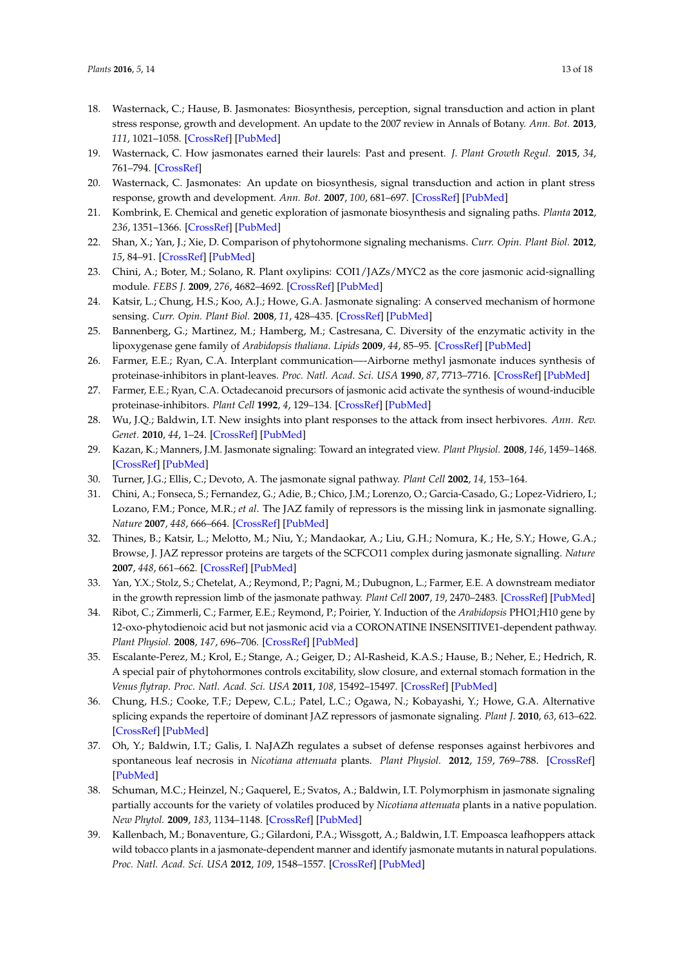- <span id="page-12-0"></span>18. Wasternack, C.; Hause, B. Jasmonates: Biosynthesis, perception, signal transduction and action in plant stress response, growth and development. An update to the 2007 review in Annals of Botany. *Ann. Bot.* **2013**, *111*, 1021–1058. [\[CrossRef\]](http://dx.doi.org/10.1093/aob/mct067) [\[PubMed\]](http://www.ncbi.nlm.nih.gov/pubmed/23558912)
- 19. Wasternack, C. How jasmonates earned their laurels: Past and present. *J. Plant Growth Regul.* **2015**, *34*, 761–794. [\[CrossRef\]](http://dx.doi.org/10.1007/s00344-015-9526-5)
- 20. Wasternack, C. Jasmonates: An update on biosynthesis, signal transduction and action in plant stress response, growth and development. *Ann. Bot.* **2007**, *100*, 681–697. [\[CrossRef\]](http://dx.doi.org/10.1093/aob/mcm079) [\[PubMed\]](http://www.ncbi.nlm.nih.gov/pubmed/17513307)
- 21. Kombrink, E. Chemical and genetic exploration of jasmonate biosynthesis and signaling paths. *Planta* **2012**, *236*, 1351–1366. [\[CrossRef\]](http://dx.doi.org/10.1007/s00425-012-1705-z) [\[PubMed\]](http://www.ncbi.nlm.nih.gov/pubmed/23011567)
- 22. Shan, X.; Yan, J.; Xie, D. Comparison of phytohormone signaling mechanisms. *Curr. Opin. Plant Biol.* **2012**, *15*, 84–91. [\[CrossRef\]](http://dx.doi.org/10.1016/j.pbi.2011.09.006) [\[PubMed\]](http://www.ncbi.nlm.nih.gov/pubmed/22001935)
- 23. Chini, A.; Boter, M.; Solano, R. Plant oxylipins: COI1/JAZs/MYC2 as the core jasmonic acid-signalling module. *FEBS J.* **2009**, *276*, 4682–4692. [\[CrossRef\]](http://dx.doi.org/10.1111/j.1742-4658.2009.07194.x) [\[PubMed\]](http://www.ncbi.nlm.nih.gov/pubmed/19663905)
- <span id="page-12-1"></span>24. Katsir, L.; Chung, H.S.; Koo, A.J.; Howe, G.A. Jasmonate signaling: A conserved mechanism of hormone sensing. *Curr. Opin. Plant Biol.* **2008**, *11*, 428–435. [\[CrossRef\]](http://dx.doi.org/10.1016/j.pbi.2008.05.004) [\[PubMed\]](http://www.ncbi.nlm.nih.gov/pubmed/18583180)
- <span id="page-12-2"></span>25. Bannenberg, G.; Martinez, M.; Hamberg, M.; Castresana, C. Diversity of the enzymatic activity in the lipoxygenase gene family of *Arabidopsis thaliana*. *Lipids* **2009**, *44*, 85–95. [\[CrossRef\]](http://dx.doi.org/10.1007/s11745-008-3245-7) [\[PubMed\]](http://www.ncbi.nlm.nih.gov/pubmed/18949503)
- <span id="page-12-11"></span>26. Farmer, E.E.; Ryan, C.A. Interplant communication—-Airborne methyl jasmonate induces synthesis of proteinase-inhibitors in plant-leaves. *Proc. Natl. Acad. Sci. USA* **1990**, *87*, 7713–7716. [\[CrossRef\]](http://dx.doi.org/10.1073/pnas.87.19.7713) [\[PubMed\]](http://www.ncbi.nlm.nih.gov/pubmed/11607107)
- <span id="page-12-12"></span>27. Farmer, E.E.; Ryan, C.A. Octadecanoid precursors of jasmonic acid activate the synthesis of wound-inducible proteinase-inhibitors. *Plant Cell* **1992**, *4*, 129–134. [\[CrossRef\]](http://dx.doi.org/10.1105/tpc.4.2.129) [\[PubMed\]](http://www.ncbi.nlm.nih.gov/pubmed/12297644)
- <span id="page-12-13"></span>28. Wu, J.Q.; Baldwin, I.T. New insights into plant responses to the attack from insect herbivores. *Ann. Rev. Genet.* **2010**, *44*, 1–24. [\[CrossRef\]](http://dx.doi.org/10.1146/annurev-genet-102209-163500) [\[PubMed\]](http://www.ncbi.nlm.nih.gov/pubmed/20649414)
- 29. Kazan, K.; Manners, J.M. Jasmonate signaling: Toward an integrated view. *Plant Physiol.* **2008**, *146*, 1459–1468. [\[CrossRef\]](http://dx.doi.org/10.1104/pp.107.115717) [\[PubMed\]](http://www.ncbi.nlm.nih.gov/pubmed/18390489)
- <span id="page-12-3"></span>30. Turner, J.G.; Ellis, C.; Devoto, A. The jasmonate signal pathway. *Plant Cell* **2002**, *14*, 153–164.
- <span id="page-12-4"></span>31. Chini, A.; Fonseca, S.; Fernandez, G.; Adie, B.; Chico, J.M.; Lorenzo, O.; Garcia-Casado, G.; Lopez-Vidriero, I.; Lozano, F.M.; Ponce, M.R.; *et al*. The JAZ family of repressors is the missing link in jasmonate signalling. *Nature* **2007**, *448*, 666–664. [\[CrossRef\]](http://dx.doi.org/10.1038/nature06006) [\[PubMed\]](http://www.ncbi.nlm.nih.gov/pubmed/17637675)
- 32. Thines, B.; Katsir, L.; Melotto, M.; Niu, Y.; Mandaokar, A.; Liu, G.H.; Nomura, K.; He, S.Y.; Howe, G.A.; Browse, J. JAZ repressor proteins are targets of the SCFCO11 complex during jasmonate signalling. *Nature* **2007**, *448*, 661–662. [\[CrossRef\]](http://dx.doi.org/10.1038/nature05960) [\[PubMed\]](http://www.ncbi.nlm.nih.gov/pubmed/17637677)
- <span id="page-12-5"></span>33. Yan, Y.X.; Stolz, S.; Chetelat, A.; Reymond, P.; Pagni, M.; Dubugnon, L.; Farmer, E.E. A downstream mediator in the growth repression limb of the jasmonate pathway. *Plant Cell* **2007**, *19*, 2470–2483. [\[CrossRef\]](http://dx.doi.org/10.1105/tpc.107.050708) [\[PubMed\]](http://www.ncbi.nlm.nih.gov/pubmed/17675405)
- <span id="page-12-6"></span>34. Ribot, C.; Zimmerli, C.; Farmer, E.E.; Reymond, P.; Poirier, Y. Induction of the *Arabidopsis* PHO1;H10 gene by 12-oxo-phytodienoic acid but not jasmonic acid via a CORONATINE INSENSITIVE1-dependent pathway. *Plant Physiol.* **2008**, *147*, 696–706. [\[CrossRef\]](http://dx.doi.org/10.1104/pp.108.119321) [\[PubMed\]](http://www.ncbi.nlm.nih.gov/pubmed/18434606)
- <span id="page-12-7"></span>35. Escalante-Perez, M.; Krol, E.; Stange, A.; Geiger, D.; Al-Rasheid, K.A.S.; Hause, B.; Neher, E.; Hedrich, R. A special pair of phytohormones controls excitability, slow closure, and external stomach formation in the *Venus flytrap*. *Proc. Natl. Acad. Sci. USA* **2011**, *108*, 15492–15497. [\[CrossRef\]](http://dx.doi.org/10.1073/pnas.1112535108) [\[PubMed\]](http://www.ncbi.nlm.nih.gov/pubmed/21896747)
- <span id="page-12-8"></span>36. Chung, H.S.; Cooke, T.F.; Depew, C.L.; Patel, L.C.; Ogawa, N.; Kobayashi, Y.; Howe, G.A. Alternative splicing expands the repertoire of dominant JAZ repressors of jasmonate signaling. *Plant J.* **2010**, *63*, 613–622. [\[CrossRef\]](http://dx.doi.org/10.1111/j.1365-313X.2010.04265.x) [\[PubMed\]](http://www.ncbi.nlm.nih.gov/pubmed/20525008)
- <span id="page-12-9"></span>37. Oh, Y.; Baldwin, I.T.; Galis, I. NaJAZh regulates a subset of defense responses against herbivores and spontaneous leaf necrosis in *Nicotiana attenuata* plants. *Plant Physiol.* **2012**, *159*, 769–788. [\[CrossRef\]](http://dx.doi.org/10.1104/pp.112.193771) [\[PubMed\]](http://www.ncbi.nlm.nih.gov/pubmed/22496510)
- <span id="page-12-10"></span>38. Schuman, M.C.; Heinzel, N.; Gaquerel, E.; Svatos, A.; Baldwin, I.T. Polymorphism in jasmonate signaling partially accounts for the variety of volatiles produced by *Nicotiana attenuata* plants in a native population. *New Phytol.* **2009**, *183*, 1134–1148. [\[CrossRef\]](http://dx.doi.org/10.1111/j.1469-8137.2009.02894.x) [\[PubMed\]](http://www.ncbi.nlm.nih.gov/pubmed/19538549)
- <span id="page-12-14"></span>39. Kallenbach, M.; Bonaventure, G.; Gilardoni, P.A.; Wissgott, A.; Baldwin, I.T. Empoasca leafhoppers attack wild tobacco plants in a jasmonate-dependent manner and identify jasmonate mutants in natural populations. *Proc. Natl. Acad. Sci. USA* **2012**, *109*, 1548–1557. [\[CrossRef\]](http://dx.doi.org/10.1073/pnas.1200363109) [\[PubMed\]](http://www.ncbi.nlm.nih.gov/pubmed/22615404)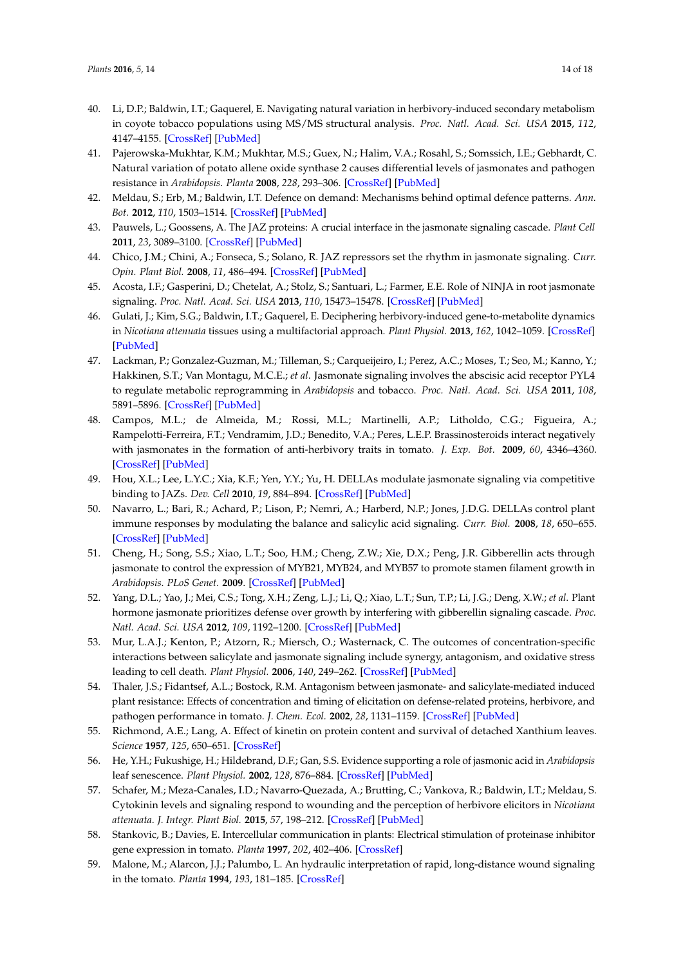- <span id="page-13-1"></span>40. Li, D.P.; Baldwin, I.T.; Gaquerel, E. Navigating natural variation in herbivory-induced secondary metabolism in coyote tobacco populations using MS/MS structural analysis. *Proc. Natl. Acad. Sci. USA* **2015**, *112*, 4147–4155. [\[CrossRef\]](http://dx.doi.org/10.1073/pnas.1503106112) [\[PubMed\]](http://www.ncbi.nlm.nih.gov/pubmed/26170304)
- <span id="page-13-0"></span>41. Pajerowska-Mukhtar, K.M.; Mukhtar, M.S.; Guex, N.; Halim, V.A.; Rosahl, S.; Somssich, I.E.; Gebhardt, C. Natural variation of potato allene oxide synthase 2 causes differential levels of jasmonates and pathogen resistance in *Arabidopsis*. *Planta* **2008**, *228*, 293–306. [\[CrossRef\]](http://dx.doi.org/10.1007/s00425-008-0737-x) [\[PubMed\]](http://www.ncbi.nlm.nih.gov/pubmed/18431595)
- <span id="page-13-2"></span>42. Meldau, S.; Erb, M.; Baldwin, I.T. Defence on demand: Mechanisms behind optimal defence patterns. *Ann. Bot.* **2012**, *110*, 1503–1514. [\[CrossRef\]](http://dx.doi.org/10.1093/aob/mcs212) [\[PubMed\]](http://www.ncbi.nlm.nih.gov/pubmed/23022676)
- <span id="page-13-3"></span>43. Pauwels, L.; Goossens, A. The JAZ proteins: A crucial interface in the jasmonate signaling cascade. *Plant Cell* **2011**, *23*, 3089–3100. [\[CrossRef\]](http://dx.doi.org/10.1105/tpc.111.089300) [\[PubMed\]](http://www.ncbi.nlm.nih.gov/pubmed/21963667)
- <span id="page-13-4"></span>44. Chico, J.M.; Chini, A.; Fonseca, S.; Solano, R. JAZ repressors set the rhythm in jasmonate signaling. *Curr. Opin. Plant Biol.* **2008**, *11*, 486–494. [\[CrossRef\]](http://dx.doi.org/10.1016/j.pbi.2008.06.003) [\[PubMed\]](http://www.ncbi.nlm.nih.gov/pubmed/18653378)
- <span id="page-13-5"></span>45. Acosta, I.F.; Gasperini, D.; Chetelat, A.; Stolz, S.; Santuari, L.; Farmer, E.E. Role of NINJA in root jasmonate signaling. *Proc. Natl. Acad. Sci. USA* **2013**, *110*, 15473–15478. [\[CrossRef\]](http://dx.doi.org/10.1073/pnas.1307910110) [\[PubMed\]](http://www.ncbi.nlm.nih.gov/pubmed/24003128)
- <span id="page-13-6"></span>46. Gulati, J.; Kim, S.G.; Baldwin, I.T.; Gaquerel, E. Deciphering herbivory-induced gene-to-metabolite dynamics in *Nicotiana attenuata* tissues using a multifactorial approach. *Plant Physiol.* **2013**, *162*, 1042–1059. [\[CrossRef\]](http://dx.doi.org/10.1104/pp.113.217588) [\[PubMed\]](http://www.ncbi.nlm.nih.gov/pubmed/23656894)
- <span id="page-13-7"></span>47. Lackman, P.; Gonzalez-Guzman, M.; Tilleman, S.; Carqueijeiro, I.; Perez, A.C.; Moses, T.; Seo, M.; Kanno, Y.; Hakkinen, S.T.; Van Montagu, M.C.E.; *et al*. Jasmonate signaling involves the abscisic acid receptor PYL4 to regulate metabolic reprogramming in *Arabidopsis* and tobacco. *Proc. Natl. Acad. Sci. USA* **2011**, *108*, 5891–5896. [\[CrossRef\]](http://dx.doi.org/10.1073/pnas.1103010108) [\[PubMed\]](http://www.ncbi.nlm.nih.gov/pubmed/21436041)
- <span id="page-13-8"></span>48. Campos, M.L.; de Almeida, M.; Rossi, M.L.; Martinelli, A.P.; Litholdo, C.G.; Figueira, A.; Rampelotti-Ferreira, F.T.; Vendramim, J.D.; Benedito, V.A.; Peres, L.E.P. Brassinosteroids interact negatively with jasmonates in the formation of anti-herbivory traits in tomato. *J. Exp. Bot.* **2009**, *60*, 4346–4360. [\[CrossRef\]](http://dx.doi.org/10.1093/jxb/erp270) [\[PubMed\]](http://www.ncbi.nlm.nih.gov/pubmed/19734261)
- <span id="page-13-9"></span>49. Hou, X.L.; Lee, L.Y.C.; Xia, K.F.; Yen, Y.Y.; Yu, H. DELLAs modulate jasmonate signaling via competitive binding to JAZs. *Dev. Cell* **2010**, *19*, 884–894. [\[CrossRef\]](http://dx.doi.org/10.1016/j.devcel.2010.10.024) [\[PubMed\]](http://www.ncbi.nlm.nih.gov/pubmed/21145503)
- <span id="page-13-10"></span>50. Navarro, L.; Bari, R.; Achard, P.; Lison, P.; Nemri, A.; Harberd, N.P.; Jones, J.D.G. DELLAs control plant immune responses by modulating the balance and salicylic acid signaling. *Curr. Biol.* **2008**, *18*, 650–655. [\[CrossRef\]](http://dx.doi.org/10.1016/j.cub.2008.03.060) [\[PubMed\]](http://www.ncbi.nlm.nih.gov/pubmed/18450451)
- <span id="page-13-11"></span>51. Cheng, H.; Song, S.S.; Xiao, L.T.; Soo, H.M.; Cheng, Z.W.; Xie, D.X.; Peng, J.R. Gibberellin acts through jasmonate to control the expression of MYB21, MYB24, and MYB57 to promote stamen filament growth in *Arabidopsis*. *PLoS Genet.* **2009**. [\[CrossRef\]](http://dx.doi.org/10.1371/journal.pgen.1000440) [\[PubMed\]](http://www.ncbi.nlm.nih.gov/pubmed/19325888)
- <span id="page-13-12"></span>52. Yang, D.L.; Yao, J.; Mei, C.S.; Tong, X.H.; Zeng, L.J.; Li, Q.; Xiao, L.T.; Sun, T.P.; Li, J.G.; Deng, X.W.; *et al*. Plant hormone jasmonate prioritizes defense over growth by interfering with gibberellin signaling cascade. *Proc. Natl. Acad. Sci. USA* **2012**, *109*, 1192–1200. [\[CrossRef\]](http://dx.doi.org/10.1073/pnas.1201616109) [\[PubMed\]](http://www.ncbi.nlm.nih.gov/pubmed/22529386)
- <span id="page-13-13"></span>53. Mur, L.A.J.; Kenton, P.; Atzorn, R.; Miersch, O.; Wasternack, C. The outcomes of concentration-specific interactions between salicylate and jasmonate signaling include synergy, antagonism, and oxidative stress leading to cell death. *Plant Physiol.* **2006**, *140*, 249–262. [\[CrossRef\]](http://dx.doi.org/10.1104/pp.105.072348) [\[PubMed\]](http://www.ncbi.nlm.nih.gov/pubmed/16377744)
- <span id="page-13-14"></span>54. Thaler, J.S.; Fidantsef, A.L.; Bostock, R.M. Antagonism between jasmonate- and salicylate-mediated induced plant resistance: Effects of concentration and timing of elicitation on defense-related proteins, herbivore, and pathogen performance in tomato. *J. Chem. Ecol.* **2002**, *28*, 1131–1159. [\[CrossRef\]](http://dx.doi.org/10.1023/A:1016225515936) [\[PubMed\]](http://www.ncbi.nlm.nih.gov/pubmed/12184393)
- <span id="page-13-15"></span>55. Richmond, A.E.; Lang, A. Effect of kinetin on protein content and survival of detached Xanthium leaves. *Science* **1957**, *125*, 650–651. [\[CrossRef\]](http://dx.doi.org/10.1126/science.125.3249.650-a)
- <span id="page-13-16"></span>56. He, Y.H.; Fukushige, H.; Hildebrand, D.F.; Gan, S.S. Evidence supporting a role of jasmonic acid in *Arabidopsis* leaf senescence. *Plant Physiol.* **2002**, *128*, 876–884. [\[CrossRef\]](http://dx.doi.org/10.1104/pp.010843) [\[PubMed\]](http://www.ncbi.nlm.nih.gov/pubmed/11891244)
- <span id="page-13-17"></span>57. Schafer, M.; Meza-Canales, I.D.; Navarro-Quezada, A.; Brutting, C.; Vankova, R.; Baldwin, I.T.; Meldau, S. Cytokinin levels and signaling respond to wounding and the perception of herbivore elicitors in *Nicotiana attenuata*. *J. Integr. Plant Biol.* **2015**, *57*, 198–212. [\[CrossRef\]](http://dx.doi.org/10.1111/jipb.12227) [\[PubMed\]](http://www.ncbi.nlm.nih.gov/pubmed/24924599)
- <span id="page-13-18"></span>58. Stankovic, B.; Davies, E. Intercellular communication in plants: Electrical stimulation of proteinase inhibitor gene expression in tomato. *Planta* **1997**, *202*, 402–406. [\[CrossRef\]](http://dx.doi.org/10.1007/s004250050143)
- 59. Malone, M.; Alarcon, J.J.; Palumbo, L. An hydraulic interpretation of rapid, long-distance wound signaling in the tomato. *Planta* **1994**, *193*, 181–185. [\[CrossRef\]](http://dx.doi.org/10.1007/BF00192528)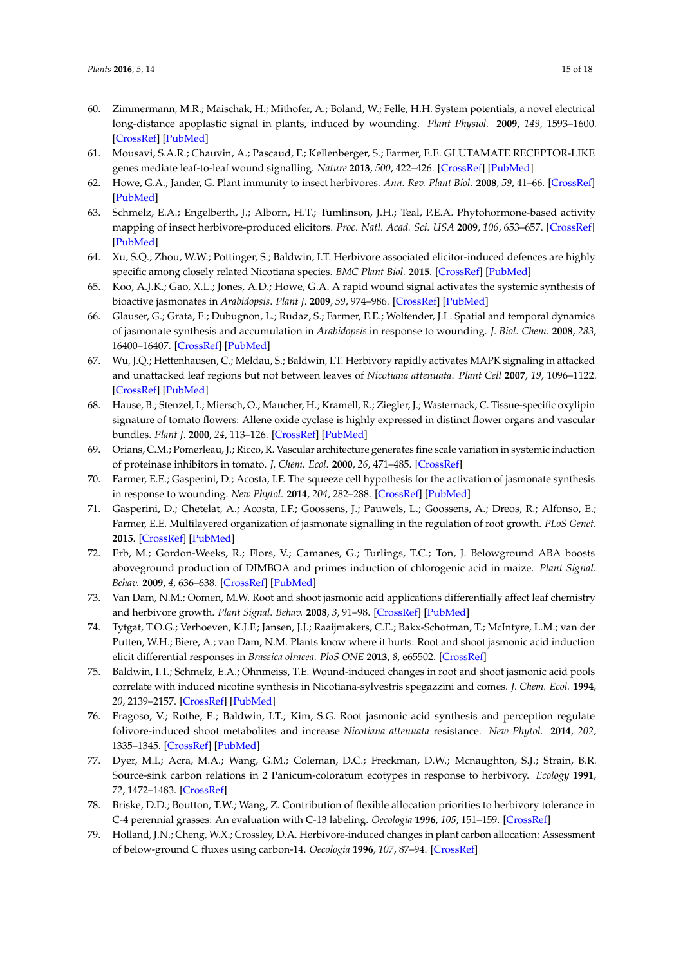- <span id="page-14-0"></span>60. Zimmermann, M.R.; Maischak, H.; Mithofer, A.; Boland, W.; Felle, H.H. System potentials, a novel electrical long-distance apoplastic signal in plants, induced by wounding. *Plant Physiol.* **2009**, *149*, 1593–1600. [\[CrossRef\]](http://dx.doi.org/10.1104/pp.108.133884) [\[PubMed\]](http://www.ncbi.nlm.nih.gov/pubmed/20724839)
- <span id="page-14-1"></span>61. Mousavi, S.A.R.; Chauvin, A.; Pascaud, F.; Kellenberger, S.; Farmer, E.E. GLUTAMATE RECEPTOR-LIKE genes mediate leaf-to-leaf wound signalling. *Nature* **2013**, *500*, 422–426. [\[CrossRef\]](http://dx.doi.org/10.1038/nature12478) [\[PubMed\]](http://www.ncbi.nlm.nih.gov/pubmed/23969459)
- <span id="page-14-2"></span>62. Howe, G.A.; Jander, G. Plant immunity to insect herbivores. *Ann. Rev. Plant Biol.* **2008**, *59*, 41–66. [\[CrossRef\]](http://dx.doi.org/10.1146/annurev.arplant.59.032607.092825) [\[PubMed\]](http://www.ncbi.nlm.nih.gov/pubmed/18031220)
- <span id="page-14-3"></span>63. Schmelz, E.A.; Engelberth, J.; Alborn, H.T.; Tumlinson, J.H.; Teal, P.E.A. Phytohormone-based activity mapping of insect herbivore-produced elicitors. *Proc. Natl. Acad. Sci. USA* **2009**, *106*, 653–657. [\[CrossRef\]](http://dx.doi.org/10.1073/pnas.0811861106) [\[PubMed\]](http://www.ncbi.nlm.nih.gov/pubmed/19124770)
- <span id="page-14-4"></span>64. Xu, S.Q.; Zhou, W.W.; Pottinger, S.; Baldwin, I.T. Herbivore associated elicitor-induced defences are highly specific among closely related Nicotiana species. *BMC Plant Biol.* **2015**. [\[CrossRef\]](http://dx.doi.org/10.1186/s12870-014-0406-0) [\[PubMed\]](http://www.ncbi.nlm.nih.gov/pubmed/25592329)
- <span id="page-14-5"></span>65. Koo, A.J.K.; Gao, X.L.; Jones, A.D.; Howe, G.A. A rapid wound signal activates the systemic synthesis of bioactive jasmonates in *Arabidopsis*. *Plant J.* **2009**, *59*, 974–986. [\[CrossRef\]](http://dx.doi.org/10.1111/j.1365-313X.2009.03924.x) [\[PubMed\]](http://www.ncbi.nlm.nih.gov/pubmed/19473329)
- <span id="page-14-6"></span>66. Glauser, G.; Grata, E.; Dubugnon, L.; Rudaz, S.; Farmer, E.E.; Wolfender, J.L. Spatial and temporal dynamics of jasmonate synthesis and accumulation in *Arabidopsis* in response to wounding. *J. Biol. Chem.* **2008**, *283*, 16400–16407. [\[CrossRef\]](http://dx.doi.org/10.1074/jbc.M801760200) [\[PubMed\]](http://www.ncbi.nlm.nih.gov/pubmed/18400744)
- <span id="page-14-7"></span>67. Wu, J.Q.; Hettenhausen, C.; Meldau, S.; Baldwin, I.T. Herbivory rapidly activates MAPK signaling in attacked and unattacked leaf regions but not between leaves of *Nicotiana attenuata*. *Plant Cell* **2007**, *19*, 1096–1122. [\[CrossRef\]](http://dx.doi.org/10.1105/tpc.106.049353) [\[PubMed\]](http://www.ncbi.nlm.nih.gov/pubmed/17400894)
- <span id="page-14-8"></span>68. Hause, B.; Stenzel, I.; Miersch, O.; Maucher, H.; Kramell, R.; Ziegler, J.; Wasternack, C. Tissue-specific oxylipin signature of tomato flowers: Allene oxide cyclase is highly expressed in distinct flower organs and vascular bundles. *Plant J.* **2000**, *24*, 113–126. [\[CrossRef\]](http://dx.doi.org/10.1046/j.1365-313x.2000.00861.x) [\[PubMed\]](http://www.ncbi.nlm.nih.gov/pubmed/11029709)
- <span id="page-14-9"></span>69. Orians, C.M.; Pomerleau, J.; Ricco, R. Vascular architecture generates fine scale variation in systemic induction of proteinase inhibitors in tomato. *J. Chem. Ecol.* **2000**, *26*, 471–485. [\[CrossRef\]](http://dx.doi.org/10.1023/A:1005469724427)
- <span id="page-14-10"></span>70. Farmer, E.E.; Gasperini, D.; Acosta, I.F. The squeeze cell hypothesis for the activation of jasmonate synthesis in response to wounding. *New Phytol.* **2014**, *204*, 282–288. [\[CrossRef\]](http://dx.doi.org/10.1111/nph.12897) [\[PubMed\]](http://www.ncbi.nlm.nih.gov/pubmed/25453132)
- <span id="page-14-11"></span>71. Gasperini, D.; Chetelat, A.; Acosta, I.F.; Goossens, J.; Pauwels, L.; Goossens, A.; Dreos, R.; Alfonso, E.; Farmer, E.E. Multilayered organization of jasmonate signalling in the regulation of root growth. *PLoS Genet.* **2015**. [\[CrossRef\]](http://dx.doi.org/10.1371/journal.pgen.1005300) [\[PubMed\]](http://www.ncbi.nlm.nih.gov/pubmed/26070206)
- <span id="page-14-12"></span>72. Erb, M.; Gordon-Weeks, R.; Flors, V.; Camanes, G.; Turlings, T.C.; Ton, J. Belowground ABA boosts aboveground production of DIMBOA and primes induction of chlorogenic acid in maize. *Plant Signal. Behav.* **2009**, *4*, 636–638. [\[CrossRef\]](http://dx.doi.org/10.4161/psb.4.7.8973) [\[PubMed\]](http://www.ncbi.nlm.nih.gov/pubmed/19820311)
- <span id="page-14-13"></span>73. Van Dam, N.M.; Oomen, M.W. Root and shoot jasmonic acid applications differentially affect leaf chemistry and herbivore growth. *Plant Signal. Behav.* **2008**, *3*, 91–98. [\[CrossRef\]](http://dx.doi.org/10.4161/psb.3.2.5220) [\[PubMed\]](http://www.ncbi.nlm.nih.gov/pubmed/19516980)
- <span id="page-14-14"></span>74. Tytgat, T.O.G.; Verhoeven, K.J.F.; Jansen, J.J.; Raaijmakers, C.E.; Bakx-Schotman, T.; McIntyre, L.M.; van der Putten, W.H.; Biere, A.; van Dam, N.M. Plants know where it hurts: Root and shoot jasmonic acid induction elicit differential responses in *Brassica olracea*. *PloS ONE* **2013**, *8*, e65502. [\[CrossRef\]](http://dx.doi.org/10.1371/annotation/4574edb2-15bd-4689-bf84-b947ebe81ed2)
- <span id="page-14-15"></span>75. Baldwin, I.T.; Schmelz, E.A.; Ohnmeiss, T.E. Wound-induced changes in root and shoot jasmonic acid pools correlate with induced nicotine synthesis in Nicotiana-sylvestris spegazzini and comes. *J. Chem. Ecol.* **1994**, *20*, 2139–2157. [\[CrossRef\]](http://dx.doi.org/10.1007/BF02066250) [\[PubMed\]](http://www.ncbi.nlm.nih.gov/pubmed/24242736)
- <span id="page-14-16"></span>76. Fragoso, V.; Rothe, E.; Baldwin, I.T.; Kim, S.G. Root jasmonic acid synthesis and perception regulate folivore-induced shoot metabolites and increase *Nicotiana attenuata* resistance. *New Phytol.* **2014**, *202*, 1335–1345. [\[CrossRef\]](http://dx.doi.org/10.1111/nph.12747) [\[PubMed\]](http://www.ncbi.nlm.nih.gov/pubmed/24580101)
- <span id="page-14-17"></span>77. Dyer, M.I.; Acra, M.A.; Wang, G.M.; Coleman, D.C.; Freckman, D.W.; Mcnaughton, S.J.; Strain, B.R. Source-sink carbon relations in 2 Panicum-coloratum ecotypes in response to herbivory. *Ecology* **1991**, *72*, 1472–1483. [\[CrossRef\]](http://dx.doi.org/10.2307/1941120)
- 78. Briske, D.D.; Boutton, T.W.; Wang, Z. Contribution of flexible allocation priorities to herbivory tolerance in C-4 perennial grasses: An evaluation with C-13 labeling. *Oecologia* **1996**, *105*, 151–159. [\[CrossRef\]](http://dx.doi.org/10.1007/BF00328540)
- 79. Holland, J.N.; Cheng, W.X.; Crossley, D.A. Herbivore-induced changes in plant carbon allocation: Assessment of below-ground C fluxes using carbon-14. *Oecologia* **1996**, *107*, 87–94. [\[CrossRef\]](http://dx.doi.org/10.1007/BF00582238)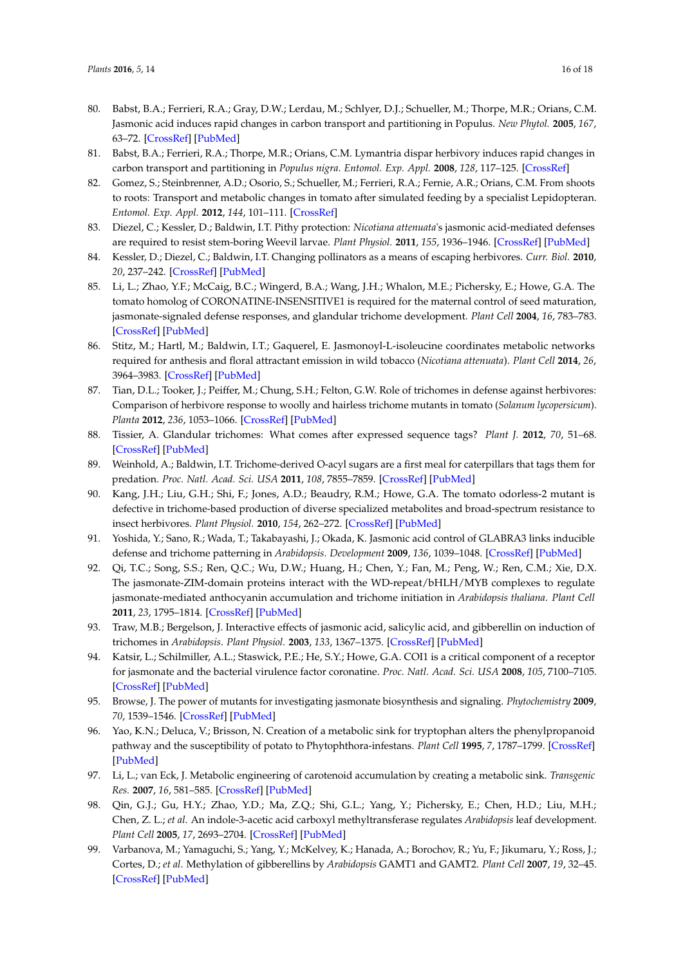- 80. Babst, B.A.; Ferrieri, R.A.; Gray, D.W.; Lerdau, M.; Schlyer, D.J.; Schueller, M.; Thorpe, M.R.; Orians, C.M. Jasmonic acid induces rapid changes in carbon transport and partitioning in Populus. *New Phytol.* **2005**, *167*, 63–72. [\[CrossRef\]](http://dx.doi.org/10.1111/j.1469-8137.2005.01388.x) [\[PubMed\]](http://www.ncbi.nlm.nih.gov/pubmed/15948830)
- 81. Babst, B.A.; Ferrieri, R.A.; Thorpe, M.R.; Orians, C.M. Lymantria dispar herbivory induces rapid changes in carbon transport and partitioning in *Populus nigra*. *Entomol. Exp. Appl.* **2008**, *128*, 117–125. [\[CrossRef\]](http://dx.doi.org/10.1111/j.1570-7458.2008.00698.x)
- <span id="page-15-0"></span>82. Gomez, S.; Steinbrenner, A.D.; Osorio, S.; Schueller, M.; Ferrieri, R.A.; Fernie, A.R.; Orians, C.M. From shoots to roots: Transport and metabolic changes in tomato after simulated feeding by a specialist Lepidopteran. *Entomol. Exp. Appl.* **2012**, *144*, 101–111. [\[CrossRef\]](http://dx.doi.org/10.1111/j.1570-7458.2012.01268.x)
- <span id="page-15-1"></span>83. Diezel, C.; Kessler, D.; Baldwin, I.T. Pithy protection: *Nicotiana attenuata*'s jasmonic acid-mediated defenses are required to resist stem-boring Weevil larvae. *Plant Physiol.* **2011**, *155*, 1936–1946. [\[CrossRef\]](http://dx.doi.org/10.1104/pp.110.170936) [\[PubMed\]](http://www.ncbi.nlm.nih.gov/pubmed/21300916)
- <span id="page-15-2"></span>84. Kessler, D.; Diezel, C.; Baldwin, I.T. Changing pollinators as a means of escaping herbivores. *Curr. Biol.* **2010**, *20*, 237–242. [\[CrossRef\]](http://dx.doi.org/10.1016/j.cub.2009.11.071) [\[PubMed\]](http://www.ncbi.nlm.nih.gov/pubmed/20096581)
- <span id="page-15-3"></span>85. Li, L.; Zhao, Y.F.; McCaig, B.C.; Wingerd, B.A.; Wang, J.H.; Whalon, M.E.; Pichersky, E.; Howe, G.A. The tomato homolog of CORONATINE-INSENSITIVE1 is required for the maternal control of seed maturation, jasmonate-signaled defense responses, and glandular trichome development. *Plant Cell* **2004**, *16*, 783–783. [\[CrossRef\]](http://dx.doi.org/10.1105/tpc.017954) [\[PubMed\]](http://www.ncbi.nlm.nih.gov/pubmed/14688297)
- <span id="page-15-4"></span>86. Stitz, M.; Hartl, M.; Baldwin, I.T.; Gaquerel, E. Jasmonoyl-L-isoleucine coordinates metabolic networks required for anthesis and floral attractant emission in wild tobacco (*Nicotiana attenuata*). *Plant Cell* **2014**, *26*, 3964–3983. [\[CrossRef\]](http://dx.doi.org/10.1105/tpc.114.128165) [\[PubMed\]](http://www.ncbi.nlm.nih.gov/pubmed/25326292)
- <span id="page-15-5"></span>87. Tian, D.L.; Tooker, J.; Peiffer, M.; Chung, S.H.; Felton, G.W. Role of trichomes in defense against herbivores: Comparison of herbivore response to woolly and hairless trichome mutants in tomato (*Solanum lycopersicum*). *Planta* **2012**, *236*, 1053–1066. [\[CrossRef\]](http://dx.doi.org/10.1007/s00425-012-1651-9) [\[PubMed\]](http://www.ncbi.nlm.nih.gov/pubmed/22552638)
- <span id="page-15-6"></span>88. Tissier, A. Glandular trichomes: What comes after expressed sequence tags? *Plant J.* **2012**, *70*, 51–68. [\[CrossRef\]](http://dx.doi.org/10.1111/j.1365-313X.2012.04913.x) [\[PubMed\]](http://www.ncbi.nlm.nih.gov/pubmed/22449043)
- <span id="page-15-7"></span>89. Weinhold, A.; Baldwin, I.T. Trichome-derived O-acyl sugars are a first meal for caterpillars that tags them for predation. *Proc. Natl. Acad. Sci. USA* **2011**, *108*, 7855–7859. [\[CrossRef\]](http://dx.doi.org/10.1073/pnas.1101306108) [\[PubMed\]](http://www.ncbi.nlm.nih.gov/pubmed/21518882)
- <span id="page-15-8"></span>90. Kang, J.H.; Liu, G.H.; Shi, F.; Jones, A.D.; Beaudry, R.M.; Howe, G.A. The tomato odorless-2 mutant is defective in trichome-based production of diverse specialized metabolites and broad-spectrum resistance to insect herbivores. *Plant Physiol.* **2010**, *154*, 262–272. [\[CrossRef\]](http://dx.doi.org/10.1104/pp.110.160192) [\[PubMed\]](http://www.ncbi.nlm.nih.gov/pubmed/20668059)
- <span id="page-15-9"></span>91. Yoshida, Y.; Sano, R.; Wada, T.; Takabayashi, J.; Okada, K. Jasmonic acid control of GLABRA3 links inducible defense and trichome patterning in *Arabidopsis*. *Development* **2009**, *136*, 1039–1048. [\[CrossRef\]](http://dx.doi.org/10.1242/dev.030585) [\[PubMed\]](http://www.ncbi.nlm.nih.gov/pubmed/19234066)
- <span id="page-15-10"></span>92. Qi, T.C.; Song, S.S.; Ren, Q.C.; Wu, D.W.; Huang, H.; Chen, Y.; Fan, M.; Peng, W.; Ren, C.M.; Xie, D.X. The jasmonate-ZIM-domain proteins interact with the WD-repeat/bHLH/MYB complexes to regulate jasmonate-mediated anthocyanin accumulation and trichome initiation in *Arabidopsis thaliana*. *Plant Cell* **2011**, *23*, 1795–1814. [\[CrossRef\]](http://dx.doi.org/10.1105/tpc.111.083261) [\[PubMed\]](http://www.ncbi.nlm.nih.gov/pubmed/21551388)
- <span id="page-15-11"></span>93. Traw, M.B.; Bergelson, J. Interactive effects of jasmonic acid, salicylic acid, and gibberellin on induction of trichomes in *Arabidopsis*. *Plant Physiol.* **2003**, *133*, 1367–1375. [\[CrossRef\]](http://dx.doi.org/10.1104/pp.103.027086) [\[PubMed\]](http://www.ncbi.nlm.nih.gov/pubmed/14551332)
- <span id="page-15-12"></span>94. Katsir, L.; Schilmiller, A.L.; Staswick, P.E.; He, S.Y.; Howe, G.A. COI1 is a critical component of a receptor for jasmonate and the bacterial virulence factor coronatine. *Proc. Natl. Acad. Sci. USA* **2008**, *105*, 7100–7105. [\[CrossRef\]](http://dx.doi.org/10.1073/pnas.0802332105) [\[PubMed\]](http://www.ncbi.nlm.nih.gov/pubmed/18458331)
- <span id="page-15-13"></span>95. Browse, J. The power of mutants for investigating jasmonate biosynthesis and signaling. *Phytochemistry* **2009**, *70*, 1539–1546. [\[CrossRef\]](http://dx.doi.org/10.1016/j.phytochem.2009.08.004) [\[PubMed\]](http://www.ncbi.nlm.nih.gov/pubmed/19740496)
- <span id="page-15-14"></span>96. Yao, K.N.; Deluca, V.; Brisson, N. Creation of a metabolic sink for tryptophan alters the phenylpropanoid pathway and the susceptibility of potato to Phytophthora-infestans. *Plant Cell* **1995**, *7*, 1787–1799. [\[CrossRef\]](http://dx.doi.org/10.1105/tpc.7.11.1787) [\[PubMed\]](http://www.ncbi.nlm.nih.gov/pubmed/12242360)
- <span id="page-15-15"></span>97. Li, L.; van Eck, J. Metabolic engineering of carotenoid accumulation by creating a metabolic sink. *Transgenic Res.* **2007**, *16*, 581–585. [\[CrossRef\]](http://dx.doi.org/10.1007/s11248-007-9111-1) [\[PubMed\]](http://www.ncbi.nlm.nih.gov/pubmed/17619157)
- <span id="page-15-16"></span>98. Qin, G.J.; Gu, H.Y.; Zhao, Y.D.; Ma, Z.Q.; Shi, G.L.; Yang, Y.; Pichersky, E.; Chen, H.D.; Liu, M.H.; Chen, Z. L.; *et al*. An indole-3-acetic acid carboxyl methyltransferase regulates *Arabidopsis* leaf development. *Plant Cell* **2005**, *17*, 2693–2704. [\[CrossRef\]](http://dx.doi.org/10.1105/tpc.105.034959) [\[PubMed\]](http://www.ncbi.nlm.nih.gov/pubmed/16169896)
- 99. Varbanova, M.; Yamaguchi, S.; Yang, Y.; McKelvey, K.; Hanada, A.; Borochov, R.; Yu, F.; Jikumaru, Y.; Ross, J.; Cortes, D.; *et al*. Methylation of gibberellins by *Arabidopsis* GAMT1 and GAMT2. *Plant Cell* **2007**, *19*, 32–45. [\[CrossRef\]](http://dx.doi.org/10.1105/tpc.106.044602) [\[PubMed\]](http://www.ncbi.nlm.nih.gov/pubmed/17220201)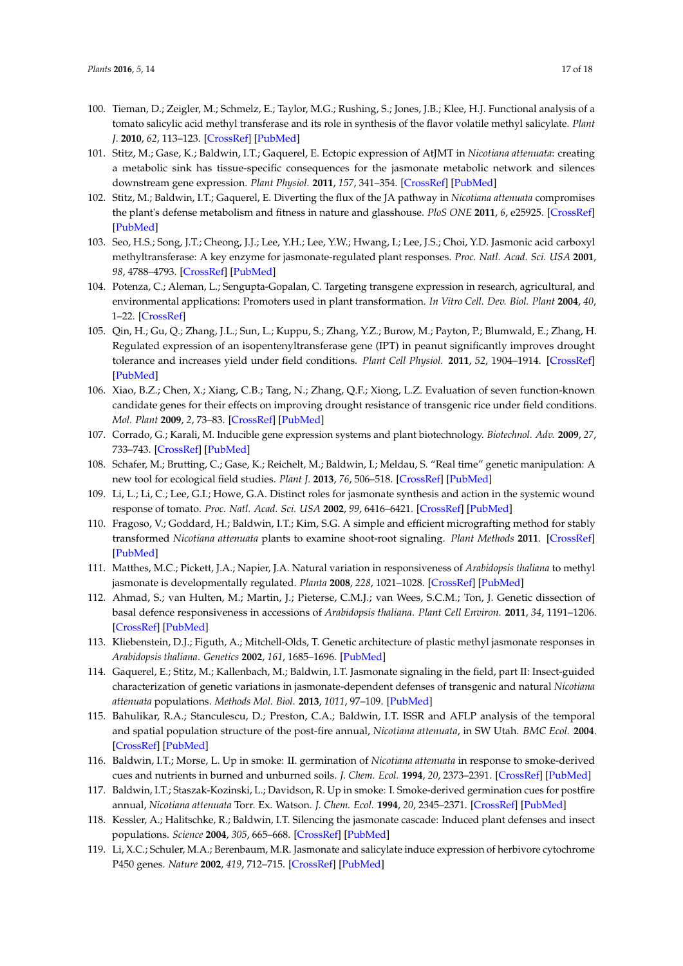- <span id="page-16-0"></span>100. Tieman, D.; Zeigler, M.; Schmelz, E.; Taylor, M.G.; Rushing, S.; Jones, J.B.; Klee, H.J. Functional analysis of a tomato salicylic acid methyl transferase and its role in synthesis of the flavor volatile methyl salicylate. *Plant J.* **2010**, *62*, 113–123. [\[CrossRef\]](http://dx.doi.org/10.1111/j.1365-313X.2010.04128.x) [\[PubMed\]](http://www.ncbi.nlm.nih.gov/pubmed/20070566)
- <span id="page-16-1"></span>101. Stitz, M.; Gase, K.; Baldwin, I.T.; Gaquerel, E. Ectopic expression of AtJMT in *Nicotiana attenuata*: creating a metabolic sink has tissue-specific consequences for the jasmonate metabolic network and silences downstream gene expression. *Plant Physiol.* **2011**, *157*, 341–354. [\[CrossRef\]](http://dx.doi.org/10.1104/pp.111.178582) [\[PubMed\]](http://www.ncbi.nlm.nih.gov/pubmed/21753114)
- <span id="page-16-2"></span>102. Stitz, M.; Baldwin, I.T.; Gaquerel, E. Diverting the flux of the JA pathway in *Nicotiana attenuata* compromises the plant's defense metabolism and fitness in nature and glasshouse. *PloS ONE* **2011**, *6*, e25925. [\[CrossRef\]](http://dx.doi.org/10.1371/journal.pone.0025925) [\[PubMed\]](http://www.ncbi.nlm.nih.gov/pubmed/22022469)
- <span id="page-16-3"></span>103. Seo, H.S.; Song, J.T.; Cheong, J.J.; Lee, Y.H.; Lee, Y.W.; Hwang, I.; Lee, J.S.; Choi, Y.D. Jasmonic acid carboxyl methyltransferase: A key enzyme for jasmonate-regulated plant responses. *Proc. Natl. Acad. Sci. USA* **2001**, *98*, 4788–4793. [\[CrossRef\]](http://dx.doi.org/10.1073/pnas.081557298) [\[PubMed\]](http://www.ncbi.nlm.nih.gov/pubmed/11287667)
- <span id="page-16-4"></span>104. Potenza, C.; Aleman, L.; Sengupta-Gopalan, C. Targeting transgene expression in research, agricultural, and environmental applications: Promoters used in plant transformation. *In Vitro Cell. Dev. Biol. Plant* **2004**, *40*, 1–22. [\[CrossRef\]](http://dx.doi.org/10.1079/IVP2003477)
- 105. Qin, H.; Gu, Q.; Zhang, J.L.; Sun, L.; Kuppu, S.; Zhang, Y.Z.; Burow, M.; Payton, P.; Blumwald, E.; Zhang, H. Regulated expression of an isopentenyltransferase gene (IPT) in peanut significantly improves drought tolerance and increases yield under field conditions. *Plant Cell Physiol.* **2011**, *52*, 1904–1914. [\[CrossRef\]](http://dx.doi.org/10.1093/pcp/pcr125) [\[PubMed\]](http://www.ncbi.nlm.nih.gov/pubmed/21920877)
- <span id="page-16-5"></span>106. Xiao, B.Z.; Chen, X.; Xiang, C.B.; Tang, N.; Zhang, Q.F.; Xiong, L.Z. Evaluation of seven function-known candidate genes for their effects on improving drought resistance of transgenic rice under field conditions. *Mol. Plant* **2009**, *2*, 73–83. [\[CrossRef\]](http://dx.doi.org/10.1093/mp/ssn068) [\[PubMed\]](http://www.ncbi.nlm.nih.gov/pubmed/19529831)
- <span id="page-16-6"></span>107. Corrado, G.; Karali, M. Inducible gene expression systems and plant biotechnology. *Biotechnol. Adv.* **2009**, *27*, 733–743. [\[CrossRef\]](http://dx.doi.org/10.1016/j.biotechadv.2009.05.006) [\[PubMed\]](http://www.ncbi.nlm.nih.gov/pubmed/19460424)
- <span id="page-16-7"></span>108. Schafer, M.; Brutting, C.; Gase, K.; Reichelt, M.; Baldwin, I.; Meldau, S. "Real time" genetic manipulation: A new tool for ecological field studies. *Plant J.* **2013**, *76*, 506–518. [\[CrossRef\]](http://dx.doi.org/10.1111/tpj.12301) [\[PubMed\]](http://www.ncbi.nlm.nih.gov/pubmed/23906159)
- <span id="page-16-8"></span>109. Li, L.; Li, C.; Lee, G.I.; Howe, G.A. Distinct roles for jasmonate synthesis and action in the systemic wound response of tomato. *Proc. Natl. Acad. Sci. USA* **2002**, *99*, 6416–6421. [\[CrossRef\]](http://dx.doi.org/10.1073/pnas.072072599) [\[PubMed\]](http://www.ncbi.nlm.nih.gov/pubmed/11959903)
- <span id="page-16-9"></span>110. Fragoso, V.; Goddard, H.; Baldwin, I.T.; Kim, S.G. A simple and efficient micrografting method for stably transformed *Nicotiana attenuata* plants to examine shoot-root signaling. *Plant Methods* **2011**. [\[CrossRef\]](http://dx.doi.org/10.1186/1746-4811-7-34) [\[PubMed\]](http://www.ncbi.nlm.nih.gov/pubmed/22014154)
- <span id="page-16-10"></span>111. Matthes, M.C.; Pickett, J.A.; Napier, J.A. Natural variation in responsiveness of *Arabidopsis thaliana* to methyl jasmonate is developmentally regulated. *Planta* **2008**, *228*, 1021–1028. [\[CrossRef\]](http://dx.doi.org/10.1007/s00425-008-0804-3) [\[PubMed\]](http://www.ncbi.nlm.nih.gov/pubmed/18726615)
- <span id="page-16-11"></span>112. Ahmad, S.; van Hulten, M.; Martin, J.; Pieterse, C.M.J.; van Wees, S.C.M.; Ton, J. Genetic dissection of basal defence responsiveness in accessions of *Arabidopsis thaliana*. *Plant Cell Environ.* **2011**, *34*, 1191–1206. [\[CrossRef\]](http://dx.doi.org/10.1111/j.1365-3040.2011.02317.x) [\[PubMed\]](http://www.ncbi.nlm.nih.gov/pubmed/21414016)
- <span id="page-16-12"></span>113. Kliebenstein, D.J.; Figuth, A.; Mitchell-Olds, T. Genetic architecture of plastic methyl jasmonate responses in *Arabidopsis thaliana*. *Genetics* **2002**, *161*, 1685–1696. [\[PubMed\]](http://www.ncbi.nlm.nih.gov/pubmed/12196411)
- <span id="page-16-13"></span>114. Gaquerel, E.; Stitz, M.; Kallenbach, M.; Baldwin, I.T. Jasmonate signaling in the field, part II: Insect-guided characterization of genetic variations in jasmonate-dependent defenses of transgenic and natural *Nicotiana attenuata* populations. *Methods Mol. Biol.* **2013**, *1011*, 97–109. [\[PubMed\]](http://www.ncbi.nlm.nih.gov/pubmed/23615990)
- <span id="page-16-14"></span>115. Bahulikar, R.A.; Stanculescu, D.; Preston, C.A.; Baldwin, I.T. ISSR and AFLP analysis of the temporal and spatial population structure of the post-fire annual, *Nicotiana attenuata*, in SW Utah. *BMC Ecol.* **2004**. [\[CrossRef\]](http://dx.doi.org/10.1186/1472-6785-4-12) [\[PubMed\]](http://www.ncbi.nlm.nih.gov/pubmed/15350209)
- <span id="page-16-15"></span>116. Baldwin, I.T.; Morse, L. Up in smoke: II. germination of *Nicotiana attenuata* in response to smoke-derived cues and nutrients in burned and unburned soils. *J. Chem. Ecol.* **1994**, *20*, 2373–2391. [\[CrossRef\]](http://dx.doi.org/10.1007/BF02033208) [\[PubMed\]](http://www.ncbi.nlm.nih.gov/pubmed/24242812)
- <span id="page-16-16"></span>117. Baldwin, I.T.; Staszak-Kozinski, L.; Davidson, R. Up in smoke: I. Smoke-derived germination cues for postfire annual, *Nicotiana attenuata* Torr. Ex. Watson. *J. Chem. Ecol.* **1994**, *20*, 2345–2371. [\[CrossRef\]](http://dx.doi.org/10.1007/BF02033207) [\[PubMed\]](http://www.ncbi.nlm.nih.gov/pubmed/24242811)
- <span id="page-16-17"></span>118. Kessler, A.; Halitschke, R.; Baldwin, I.T. Silencing the jasmonate cascade: Induced plant defenses and insect populations. *Science* **2004**, *305*, 665–668. [\[CrossRef\]](http://dx.doi.org/10.1126/science.1096931) [\[PubMed\]](http://www.ncbi.nlm.nih.gov/pubmed/15232071)
- <span id="page-16-18"></span>119. Li, X.C.; Schuler, M.A.; Berenbaum, M.R. Jasmonate and salicylate induce expression of herbivore cytochrome P450 genes. *Nature* **2002**, *419*, 712–715. [\[CrossRef\]](http://dx.doi.org/10.1038/nature01003) [\[PubMed\]](http://www.ncbi.nlm.nih.gov/pubmed/12384696)